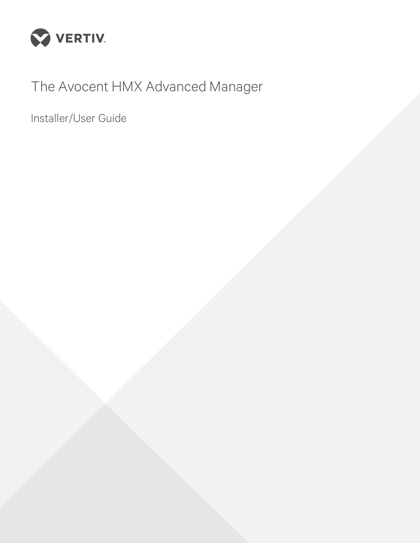

The Avocent HMX Advanced Manager

Installer/User Guide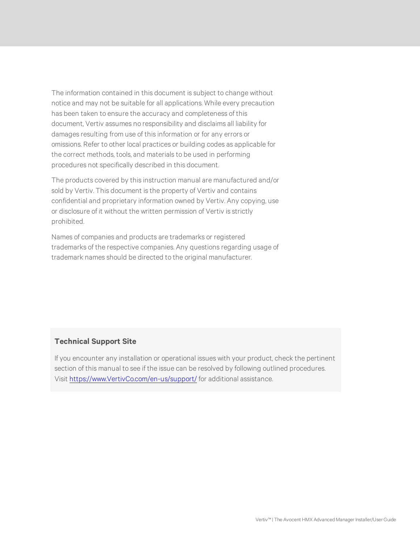The information contained in this document is subject to change without notice and may not be suitable for all applications. While every precaution has been taken to ensure the accuracy and completeness of this document, Vertiv assumes no responsibility and disclaims all liability for damages resulting from use of this information or for any errors or omissions. Refer to other local practices or building codes as applicable for the correct methods, tools, and materials to be used in performing procedures not specifically described in this document.

The products covered by this instruction manual are manufactured and/or sold by Vertiv. This document is the property of Vertiv and contains confidential and proprietary information owned by Vertiv. Any copying, use or disclosure of it without the written permission of Vertiv is strictly prohibited.

Names of companies and products are trademarks or registered trademarks of the respective companies. Any questions regarding usage of trademark names should be directed to the original manufacturer.

## **Technical Support Site**

If you encounter any installation or operational issues with your product, check the pertinent section of this manual to see if the issue can be resolved by following outlined procedures. Visit [https://www.VertivCo.com/en-us/support/](https://www.vertivco.com/en-us/support/) for additional assistance.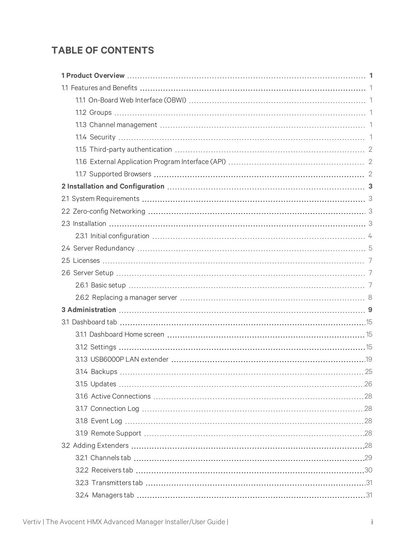# **TABLE OF CONTENTS**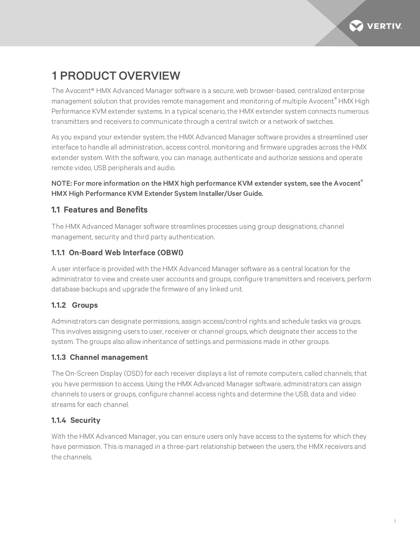

# <span id="page-4-0"></span>1 PRODUCT OVERVIEW

The Avocent® HMX Advanced Manager software is a secure, web browser-based, centralized enterprise management solution that provides remote management and monitoring of multiple Avocent® HMX High Performance KVM extender systems. In a typical scenario, the HMX extender system connects numerous transmitters and receivers to communicate through a central switch or a network of switches.

As you expand your extender system, the HMX Advanced Manager software provides a streamlined user interface to handle all administration, access control, monitoring and firmware upgrades across the HMX extender system. With the software, you can manage, authenticate and authorize sessions and operate remote video, USB peripherals and audio.

# NOTE: For more information on the HMX high performance KVM extender system, see the Avocent® HMX High Performance KVM Extender System Installer/User Guide.

# <span id="page-4-1"></span>**1.1 Features and Benefits**

The HMX Advanced Manager software streamlines processes using group designations, channel management, security and third party authentication.

# <span id="page-4-2"></span>**1.1.1 On-Board Web Interface (OBWI)**

A user interface is provided with the HMX Advanced Manager software as a central location for the administrator to view and create user accounts and groups, configure transmitters and receivers, perform database backups and upgrade the firmware of any linked unit.

# <span id="page-4-3"></span>**1.1.2 Groups**

Administrators can designate permissions, assign access/control rights and schedule tasks via groups. This involves assigning users to user, receiver or channel groups, which designate their access to the system. The groups also allow inheritance of settings and permissions made in other groups.

# <span id="page-4-4"></span>**1.1.3 Channel management**

The On-Screen Display (OSD) for each receiver displays a list of remote computers, called channels, that you have permission to access. Using the HMX Advanced Manager software, administrators can assign channels to users or groups, configure channel access rights and determine the USB, data and video streams for each channel.

# <span id="page-4-5"></span>**1.1.4 Security**

With the HMX Advanced Manager, you can ensure users only have access to the systems for which they have permission. This is managed in a three-part relationship between the users, the HMX receivers and the channels.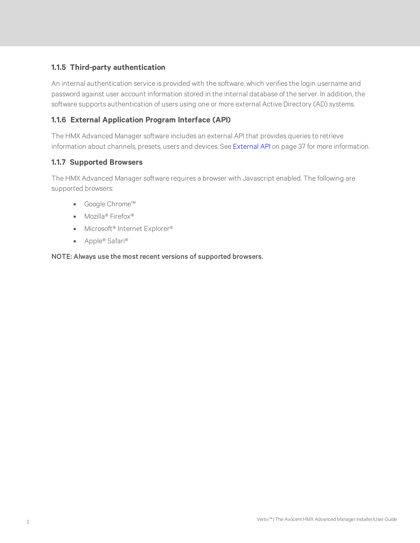# <span id="page-5-0"></span>**1.1.5 Third-party authentication**

An internal authentication service is provided with the software, which verifies the login username and password against user account information stored in the internal database of the server. In addition, the software supports authentication of users using one or more external Active Directory (AD) systems.

# <span id="page-5-1"></span>**1.1.6 External Application Program Interface (API)**

The HMX Advanced Manager software includes an external API that provides queries to retrieve information about channels, presets, users and devices. See [External](#page-40-0) API on page 37 for more information.

# <span id="page-5-2"></span>**1.1.7 Supported Browsers**

The HMX Advanced Manager software requires a browser with Javascript enabled. The following are supported browsers:

- Google Chrome™
- Mozilla<sup>®</sup> Firefox<sup>®</sup>
- Microsoft® Internet Explorer®
- Apple® Safari®

NOTE: Always use the most recent versions of supported browsers.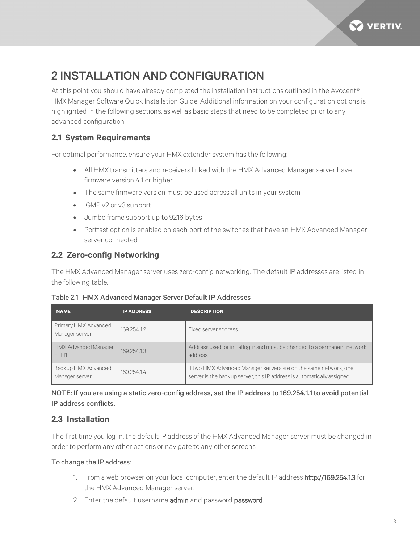

# <span id="page-6-0"></span>2 INSTALLATION AND CONFIGURATION

At this point you should have already completed the installation instructions outlined in the Avocent® HMX Manager Software Quick Installation Guide. Additional information on your configuration options is highlighted in the following sections, as well as basic steps that need to be completed prior to any advanced configuration.

# <span id="page-6-1"></span>**2.1 System Requirements**

For optimal performance, ensure your HMX extender system has the following:

- All HMX transmitters and receivers linked with the HMX Advanced Manager server have firmware version 4.1 or higher
- The same firmware version must be used across all units in your system.
- IGMP v2 or v3 support
- Jumbo frame support up to 9216 bytes
- Portfast option is enabled on each port of the switches that have an HMX Advanced Manager server connected

# <span id="page-6-2"></span>**2.2 Zero-config Networking**

The HMX Advanced Manager server uses zero-config networking. The default IP addresses are listed in the following table.

#### Table 2.1 HMX Advanced Manager Server Default IP Addresses

| <b>NAME</b>                                     | <b>IP ADDRESS</b> | <b>DESCRIPTION</b>                                                                                                                          |
|-------------------------------------------------|-------------------|---------------------------------------------------------------------------------------------------------------------------------------------|
| Primary HMX Advanced<br>Manager server          | 169.254.1.2       | Fixed server address.                                                                                                                       |
| <b>HMX Advanced Manager</b><br>ETH <sub>1</sub> | 169.254.1.3       | Address used for initial log in and must be changed to a permanent network<br>address.                                                      |
| Backup HMX Advanced<br>Manager server           | 169.254.1.4       | If two HMX Advanced Manager servers are on the same network, one<br>server is the backup server; this IP address is automatically assigned. |

NOTE: If you are using a static zero-config address, set the IP address to 169.254.1.1 to avoid potential IP address conflicts.

# <span id="page-6-3"></span>**2.3 Installation**

The first time you log in, the default IP address of the HMX Advanced Manager server must be changed in order to perform any other actions or navigate to any other screens.

## To change the IP address:

- 1. From a web browser on your local computer, enter the default IP address http://169.254.1.3 for the HMX Advanced Manager server.
- 2. Enter the default username admin and password password.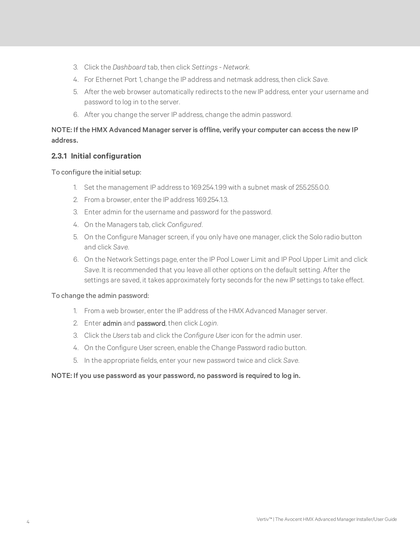- 3. Click the *Dashboard* tab, then click *Settings - Network*.
- 4. For Ethernet Port 1, change the IP address and netmask address, then click *Save*.
- 5. After the web browser automatically redirects to the new IP address, enter your username and password to log in to the server.
- 6. After you change the server IP address, change the admin password.

## NOTE: If the HMX Advanced Manager server is offline, verify your computer can access the new IP address.

### <span id="page-7-0"></span>**2.3.1 Initial configuration**

To configure the initial setup:

- 1. Set the management IP address to 169.254.1.99 with a subnet mask of 255.255.0.0.
- 2. From a browser, enter the IP address 169.254.1.3.
- 3. Enter admin for the username and password for the password.
- 4. On the Managers tab, click *Configured*.
- 5. On the Configure Manager screen, if you only have one manager, click the Solo radio button and click *Save*.
- 6. On the Network Settings page, enter the IP Pool Lower Limit and IP Pool Upper Limit and click *Save*. It is recommended that you leave all other options on the default setting. After the settings are saved, it takes approximately forty seconds for the new IP settings to take effect.

#### To change the admin password:

- 1. From a web browser, enter the IP address of the HMX Advanced Manager server.
- 2. Enter admin and password, then click *Login*.
- 3. Click the *Users* tab and click the *Configure User* icon for the admin user.
- 4. On the Configure User screen, enable the Change Password radio button.
- 5. In the appropriate fields, enter your new password twice and click *Save*.

#### NOTE: If you use password as your password, no password is required to log in.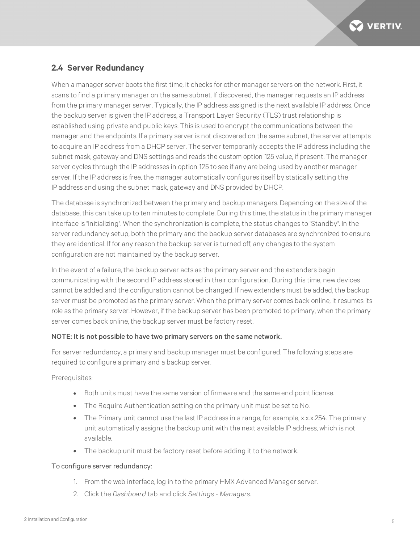

# <span id="page-8-0"></span>**2.4 Server Redundancy**

When a manager server boots the first time, it checks for other manager servers on the network. First, it scans to find a primary manager on the same subnet. If discovered, the manager requests an IP address from the primary manager server. Typically, the IP address assigned is the next available IP address. Once the backup server is given the IP address, a Transport Layer Security (TLS) trust relationship is established using private and public keys. This is used to encrypt the communications between the manager and the endpoints. If a primary server is not discovered on the same subnet, the server attempts to acquire an IP address from a DHCP server. The server temporarily accepts the IP address including the subnet mask, gateway and DNS settings and reads the custom option 125 value, if present. The manager server cycles through the IP addresses in option 125 to see if any are being used by another manager server. If the IP address is free, the manager automatically configures itself by statically setting the IP address and using the subnet mask, gateway and DNS provided by DHCP.

The database is synchronized between the primary and backup managers. Depending on the size of the database, this can take up to ten minutes to complete. During this time, the status in the primary manager interface is "Initializing". When the synchronization is complete, the status changes to "Standby". In the server redundancy setup, both the primary and the backup server databases are synchronized to ensure they are identical. If for any reason the backup server is turned off, any changes to the system configuration are not maintained by the backup server.

In the event of a failure, the backup server acts as the primary server and the extenders begin communicating with the second IP address stored in their configuration. During this time, new devices cannot be added and the configuration cannot be changed. If new extenders must be added, the backup server must be promoted as the primary server. When the primary server comes back online, it resumes its role as the primary server. However, if the backup server has been promoted to primary, when the primary server comes back online, the backup server must be factory reset.

#### NOTE: It is not possible to have two primary servers on the same network.

For server redundancy, a primary and backup manager must be configured. The following steps are required to configure a primary and a backup server.

Prerequisites:

- Both units must have the same version of firmware and the same end point license.
- The Require Authentication setting on the primary unit must be set to No.
- The Primary unit cannot use the last IP address in a range, for example, x.x.x.254. The primary unit automatically assigns the backup unit with the next available IP address, which is not available.
- The backup unit must be factory reset before adding it to the network.

#### To configure server redundancy:

- 1. From the web interface, log in to the primary HMX Advanced Manager server.
- 2. Click the *Dashboard* tab and click *Settings - Managers*.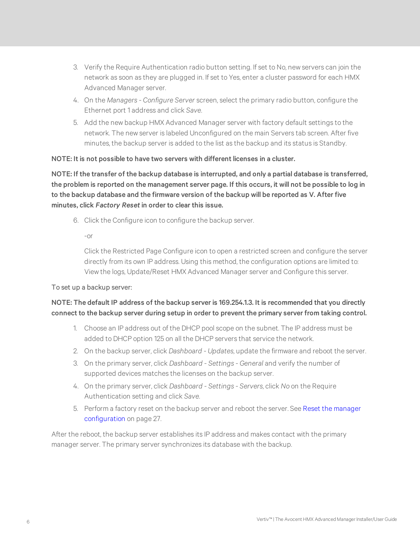- 3. Verify the Require Authentication radio button setting. If set to No, new servers can join the network as soon as they are plugged in. If set to Yes, enter a cluster password for each HMX Advanced Manager server.
- 4. On the *Managers - Configure Server* screen, select the primary radio button, configure the Ethernet port 1 address and click *Save*.
- 5. Add the new backup HMX Advanced Manager server with factory default settings to the network. The new server is labeled Unconfigured on the main Servers tab screen. After five minutes, the backup server is added to the list as the backup and its status is Standby.

## NOTE: It is not possible to have two servers with different licenses in a cluster.

NOTE: If the transfer of the backup database is interrupted, and only a partial database is transferred, the problem is reported on the management server page. If this occurs, it will not be possible to log in to the backup database and the firmware version of the backup will be reported as V. After five minutes, click *Factory Reset* in order to clear this issue.

6. Click the Configure icon to configure the backup server.

-or

Click the Restricted Page Configure icon to open a restricted screen and configure the server directly from its own IP address. Using this method, the configuration options are limited to: View the logs, Update/Reset HMX Advanced Manager server and Configure this server.

#### To set up a backup server:

# NOTE: The default IP address of the backup server is 169.254.1.3. It is recommended that you directly connect to the backup server during setup in order to prevent the primary server from taking control.

- 1. Choose an IP address out of the DHCP pool scope on the subnet. The IP address must be added to DHCP option 125 on all the DHCP servers that service the network.
- 2. On the backup server, click *Dashboard - Updates*, update the firmware and reboot the server.
- 3. On the primary server, click *Dashboard - Settings - General* and verify the number of supported devices matches the licenses on the backup server.
- 4. On the primary server, click *Dashboard - Settings - Servers*, click *No* on the Require Authentication setting and click *Save*.
- 5. Perform a factory reset on the backup server and reboot the server. See Reset the [manager](#page-30-0) [configuration](#page-30-0) on page 27.

After the reboot, the backup server establishes its IP address and makes contact with the primary manager server. The primary server synchronizes its database with the backup.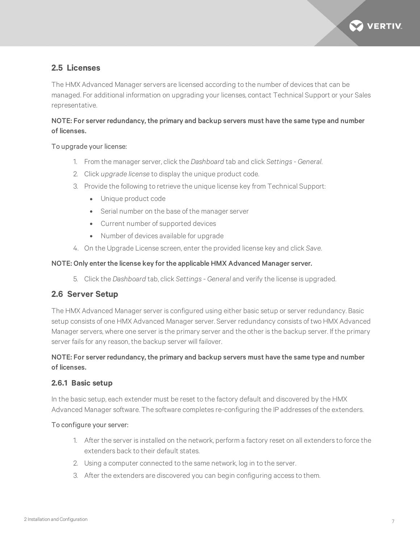

# <span id="page-10-0"></span>**2.5 Licenses**

The HMX Advanced Manager servers are licensed according to the number of devices that can be managed. For additional information on upgrading your licenses, contact Technical Support or your Sales representative.

# NOTE: For server redundancy, the primary and backup servers must have the same type and number of licenses.

#### To upgrade your license:

- 1. From the manager server, click the *Dashboard* tab and click *Settings - General*.
- 2. Click *upgrade license* to display the unique product code.
- 3. Provide the following to retrieve the unique license key from Technical Support:
	- Unique product code
	- Serial number on the base of the manager server
	- Current number of supported devices
	- Number of devices available for upgrade
- 4. On the Upgrade License screen, enter the provided license key and click *Save*.

#### NOTE: Only enter the license key for the applicable HMX Advanced Manager server.

5. Click the *Dashboard* tab, click *Settings - General* and verify the license is upgraded.

# <span id="page-10-1"></span>**2.6 Server Setup**

The HMX Advanced Manager server is configured using either basic setup or server redundancy. Basic setup consists of one HMX Advanced Manager server. Server redundancy consists of two HMX Advanced Manager servers, where one server is the primary server and the other is the backup server. If the primary server fails for any reason, the backup server will failover.

# NOTE: For server redundancy, the primary and backup servers must have the same type and number of licenses.

## <span id="page-10-2"></span>**2.6.1 Basic setup**

In the basic setup, each extender must be reset to the factory default and discovered by the HMX Advanced Manager software. The software completes re-configuring the IP addresses of the extenders.

#### To configure your server:

- 1. After the server is installed on the network, perform a factory reset on all extenders to force the extenders back to their default states.
- 2. Using a computer connected to the same network, log in to the server.
- 3. After the extenders are discovered you can begin configuring access to them.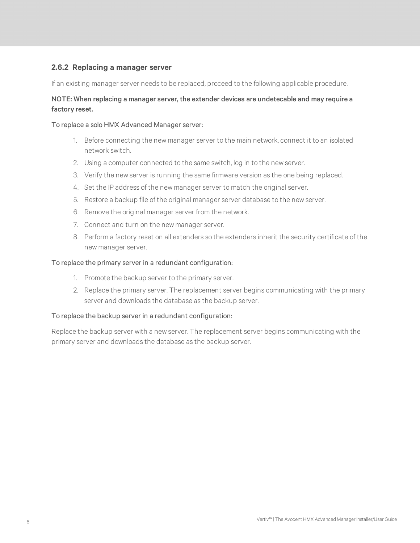# <span id="page-11-0"></span>**2.6.2 Replacing a manager server**

If an existing manager server needs to be replaced, proceed to the following applicable procedure.

# NOTE: When replacing a manager server, the extender devices are undetecable and may require a factory reset.

To replace a solo HMX Advanced Manager server:

- 1. Before connecting the new manager server to the main network, connect it to an isolated network switch.
- 2. Using a computer connected to the same switch, log in to the new server.
- 3. Verify the new server is running the same firmware version as the one being replaced.
- 4. Set the IP address of the new manager server to match the original server.
- 5. Restore a backup file of the original manager server database to the new server.
- 6. Remove the original manager server from the network.
- 7. Connect and turn on the new manager server.
- 8. Perform a factory reset on all extenders so the extenders inherit the security certificate of the new manager server.

#### To replace the primary server in a redundant configuration:

- 1. Promote the backup server to the primary server.
- 2. Replace the primary server. The replacement server begins communicating with the primary server and downloads the database as the backup server.

#### To replace the backup server in a redundant configuration:

Replace the backup server with a new server. The replacement server begins communicating with the primary server and downloads the database as the backup server.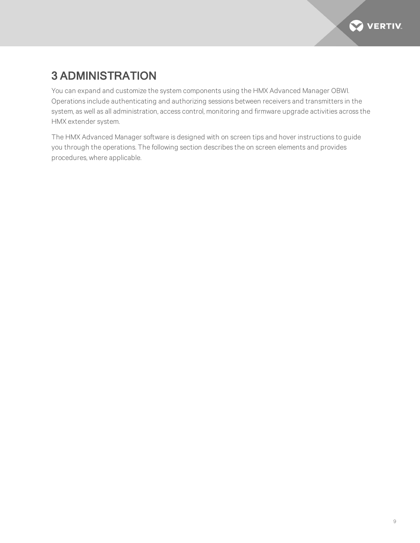

# <span id="page-12-0"></span>3 ADMINISTRATION

You can expand and customize the system components using the HMX Advanced Manager OBWI. Operations include authenticating and authorizing sessions between receivers and transmitters in the system, as well as all administration, access control, monitoring and firmware upgrade activities across the HMX extender system.

The HMX Advanced Manager software is designed with on screen tips and hover instructions to guide you through the operations. The following section describes the on screen elements and provides procedures, where applicable.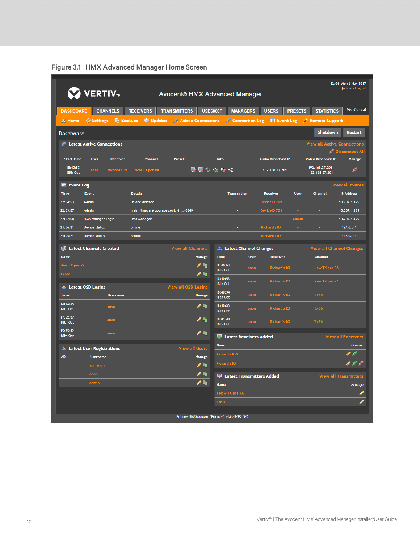|                                                                            |                      | VERTIV <sub>™</sub>      |                     |                    |                      | Avocent® HMX Advanced Manager         |                           |                      |                      |                          |                                                                                |                |                                  |                      | 22:04, Mon 6 Nov 2017<br>(admin) Logout |
|----------------------------------------------------------------------------|----------------------|--------------------------|---------------------|--------------------|----------------------|---------------------------------------|---------------------------|----------------------|----------------------|--------------------------|--------------------------------------------------------------------------------|----------------|----------------------------------|----------------------|-----------------------------------------|
| DASHBOARD CHANNELS<br>A Home <b>W</b> Settings <b>In Backups W</b> Updates |                      |                          |                     | <b>RECEIVERS</b>   |                      | <b>TRANSMITTERS</b>                   | <b>Active Connections</b> | <b>USB6000P</b>      |                      | <b>MANAGERS</b>          | <b>USERS</b><br>Remote Support & Connection Log III Event Log 7 Remote Support | <b>PRESETS</b> |                                  | <b>STATISTICS</b>    | Version 4.6                             |
| Dashboard                                                                  |                      |                          |                     |                    |                      |                                       |                           |                      |                      |                          |                                                                                |                |                                  | <b>Shutdown</b>      | <b>Restart</b>                          |
| Latest Active Connections                                                  |                      |                          |                     |                    |                      |                                       |                           |                      |                      |                          |                                                                                |                |                                  |                      | <b>View all Active Connections</b>      |
|                                                                            |                      |                          |                     |                    |                      |                                       |                           |                      |                      |                          |                                                                                |                |                                  |                      | <b>N</b> Disconnect All                 |
| <b>Start Time</b>                                                          | <b>User</b>          |                          | <b>Receiver</b>     |                    | <b>Channel</b>       | <b>Preset</b>                         |                           | Info                 |                      |                          | <b>Audio Broadcast IP</b>                                                      |                | <b>Video Broadcast IP</b>        |                      | Manage                                  |
| 18:40:53<br>18th Oct                                                       | anon                 |                          | <b>Richard's RX</b> |                    | <b>New TX per RA</b> |                                       | 風風少しみく                    |                      |                      |                          | 192.168.37.201                                                                 |                | 192.168.37.201<br>192.168.37.201 |                      | ď                                       |
| <b>Exent Log</b>                                                           |                      |                          |                     |                    |                      |                                       |                           |                      |                      |                          |                                                                                |                |                                  |                      | <b>View all Events</b>                  |
| <b>Time</b>                                                                | Event                |                          |                     | <b>Details</b>     |                      |                                       |                           |                      | <b>Transmitter</b>   |                          | <b>Receiver</b>                                                                | <b>User</b>    | <b>Channel</b>                   |                      | <b>IP Address</b>                       |
| 22:04:53                                                                   | <b>Admin</b>         |                          |                     |                    | Device deleted       |                                       |                           |                      |                      |                          | DevicelD 701                                                                   | ×              |                                  |                      | 10.207.1.129                            |
| 22:03:57                                                                   | <b>Admin</b>         |                          |                     |                    |                      | main firmware upgrade sent: 4.4.40349 |                           |                      | ÷.                   |                          | DeviceID 701                                                                   | ÷              | ÷                                |                      | 10.207.1.129                            |
| 22:02:08                                                                   |                      | <b>HMX Manager Login</b> |                     | <b>HMX Manager</b> |                      |                                       |                           |                      | ä,                   |                          |                                                                                | admin          | ÷,                               |                      | 10.207.1.129                            |
| 21:06:31                                                                   | <b>Device status</b> |                          |                     | online             |                      |                                       |                           |                      | ×,                   |                          | <b>Richard's RX</b>                                                            | ÷,             |                                  |                      | 127.0.0.1                               |
| 21:05:21                                                                   | <b>Device status</b> |                          |                     | offline            |                      |                                       |                           |                      | ÷                    |                          | <b>Richard's RX</b>                                                            |                |                                  |                      | 127.0.0.1                               |
| <b>Ell</b> Latest Channels Created                                         |                      |                          |                     |                    |                      | <b>View all Channels</b>              |                           |                      |                      | & Latest Channel Changes |                                                                                |                |                                  |                      | <b>View all Channel Changes</b>         |
| <b>Name</b>                                                                |                      |                          |                     |                    |                      |                                       | Manage                    | Time                 |                      | <b>User</b>              | Receiver                                                                       |                | <b>Channel</b>                   |                      |                                         |
| New TX per RA<br><b>TxBlk</b>                                              |                      |                          |                     |                    |                      |                                       | ╱╚<br>◢₩                  | 18:40:53<br>18th Oct |                      | anon                     | <b>Richard's RX</b>                                                            |                |                                  | <b>New TX per RA</b> |                                         |
| & Latest OSD Logins                                                        |                      |                          |                     |                    |                      | <b>View all OSD Logins</b>            |                           | 18:40:53<br>18th Oct |                      | anon                     | <b>Richard's RX</b>                                                            |                |                                  | <b>New TX per RA</b> |                                         |
| <b>Time</b>                                                                |                      |                          | <b>Username</b>     |                    |                      |                                       | <b>Manage</b>             | 18:40:34<br>18th Oct |                      | anon                     | <b>Richard's RX</b>                                                            |                | <b>TxBlk</b>                     |                      |                                         |
| 18:38:35<br>18th Oct                                                       |                      | anon                     |                     |                    |                      |                                       | ◢₩                        | 18:40:33<br>18th Oct |                      | anon                     | <b>Richard's RX</b>                                                            |                | <b>TxBlk</b>                     |                      |                                         |
| 17:52:37<br>18th Oct                                                       |                      | anon                     |                     |                    |                      |                                       | ╱⋒                        | 18:03:48<br>18th Oct |                      | anon                     | <b>Richard's RX</b>                                                            |                | <b>TxBlk</b>                     |                      |                                         |
| 15:35:12<br>18th Oct                                                       |                      | anon                     |                     |                    |                      |                                       | ╱╚                        |                      |                      | Latest Receivers Added   |                                                                                |                |                                  |                      | <b>View all Receivers</b>               |
| & Latest User Registrations                                                |                      |                          |                     |                    |                      |                                       | <b>View all Users</b>     | <b>Name</b>          |                      |                          |                                                                                |                |                                  |                      | Manage                                  |
| <b>AD</b>                                                                  |                      | <b>Username</b>          |                     |                    |                      |                                       | Manage                    |                      | <b>Richard's Rx2</b> |                          |                                                                                |                |                                  |                      |                                         |
|                                                                            |                      | api_anon                 |                     |                    |                      |                                       | ◢₩                        |                      | <b>Richard's RX</b>  |                          |                                                                                |                |                                  |                      | ,,,                                     |
|                                                                            | anon                 |                          |                     |                    |                      |                                       | { ∘ ∩                     |                      |                      |                          | <b>■ Latest Transmitters Added</b>                                             |                |                                  |                      | <b>View all Transmitters</b>            |
|                                                                            | admin                |                          |                     |                    |                      |                                       | ◢₩                        | <b>Name</b>          |                      |                          |                                                                                |                |                                  |                      | Manage                                  |
|                                                                            |                      |                          |                     |                    |                      |                                       |                           |                      | 1 New TX per RA      |                          |                                                                                |                |                                  |                      |                                         |
|                                                                            |                      |                          |                     |                    |                      |                                       |                           | <b>TxBlk</b>         |                      |                          |                                                                                |                |                                  |                      |                                         |
|                                                                            |                      |                          |                     |                    |                      |                                       |                           |                      |                      |                          |                                                                                |                |                                  |                      |                                         |

Figure 3.1 HMX Advanced Manager Home Screen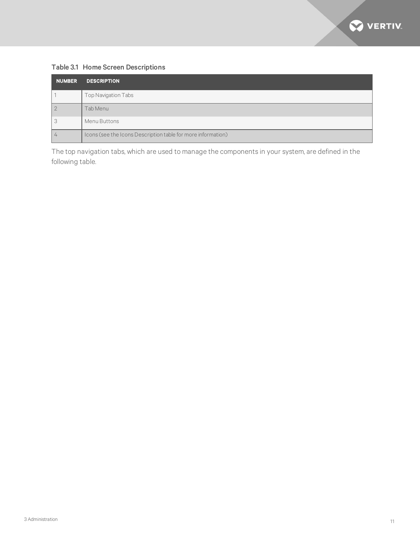

# Table 3.1 Home Screen Descriptions

| <b>NUMBER</b> | <b>DESCRIPTION</b>                                           |
|---------------|--------------------------------------------------------------|
|               | Top Navigation Tabs                                          |
|               | Tab Menu                                                     |
|               | Menu Buttons                                                 |
|               | Icons (see the Icons Description table for more information) |

The top navigation tabs, which are used to manage the components in your system, are defined in the following table.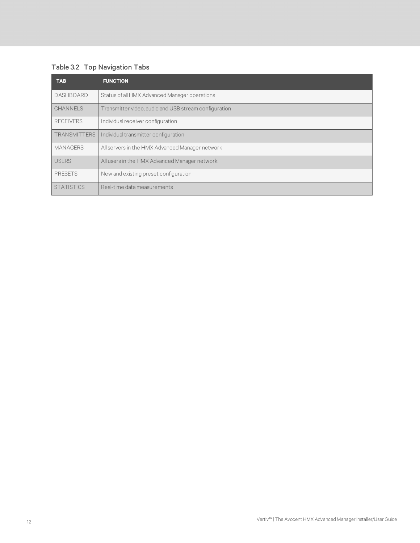# Table 3.2 Top Navigation Tabs

| <b>TAB</b>          | <b>FUNCTION</b>                                       |  |  |  |
|---------------------|-------------------------------------------------------|--|--|--|
| <b>DASHBOARD</b>    | Status of all HMX Advanced Manager operations         |  |  |  |
| <b>CHANNELS</b>     | Transmitter video, audio and USB stream configuration |  |  |  |
| <b>RECEIVERS</b>    | Individual receiver configuration                     |  |  |  |
| <b>TRANSMITTERS</b> | Individual transmitter configuration                  |  |  |  |
| <b>MANAGERS</b>     | All servers in the HMX Advanced Manager network       |  |  |  |
| <b>USERS</b>        | All users in the HMX Advanced Manager network         |  |  |  |
| <b>PRESETS</b>      | New and existing preset configuration                 |  |  |  |
| <b>STATISTICS</b>   | Real-time data measurements                           |  |  |  |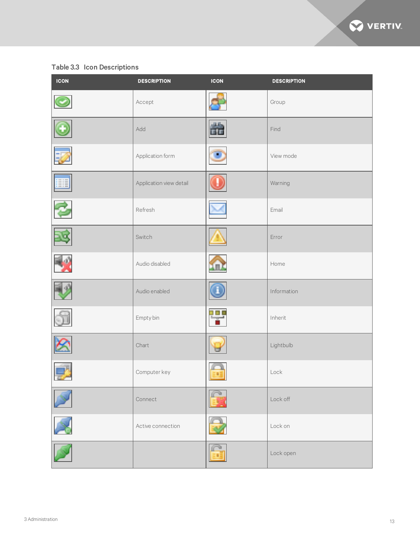

# Table 3.3 Icon Descriptions

| <b>ICON</b> | <b>DESCRIPTION</b>      | <b>ICON</b> | <b>DESCRIPTION</b> |
|-------------|-------------------------|-------------|--------------------|
|             | Accept                  |             | Group              |
|             | Add                     | 諯           | Find               |
|             | Application form        |             | View mode          |
|             | Application view detail |             | Warning            |
|             | Refresh                 |             | Email              |
|             | Switch                  |             | Error              |
|             | Audio disabled          |             | Home               |
|             | Audio enabled           |             | Information        |
|             | Empty bin               | 뿦           | Inherit            |
|             | Chart                   |             | Lightbulb          |
|             | Computer key            |             | Lock               |
|             | Connect                 |             | Lock off           |
|             | Active connection       |             | Lock on            |
|             |                         |             | Lock open          |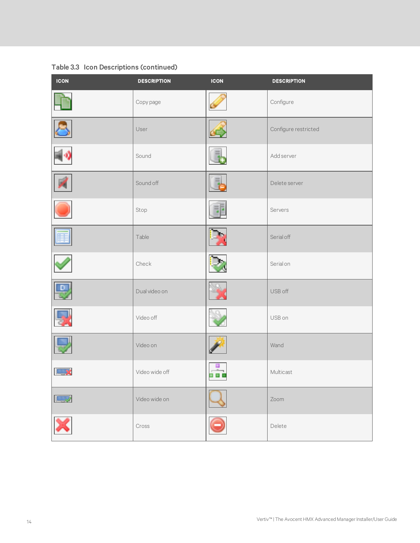|  |  |  | Table 3.3 Icon Descriptions (continued) |
|--|--|--|-----------------------------------------|
|--|--|--|-----------------------------------------|

| <b>ICON</b> | <b>DESCRIPTION</b> | <b>ICON</b> | <b>DESCRIPTION</b>   |
|-------------|--------------------|-------------|----------------------|
|             | Copy page          |             | Configure            |
|             | User               |             | Configure restricted |
|             | Sound              |             | Add server           |
|             | Sound off          |             | Delete server        |
|             | Stop               |             | Servers              |
|             | Table              |             | Serial off           |
|             | Check              |             | Serial on            |
|             | Dual video on      |             | USB off              |
|             | Video off          |             | USB on               |
|             | Video on           |             | Wand                 |
|             | Video wide off     | <b>. .</b>  | Multicast            |
| $\Box$      | Video wide on      |             | Zoom                 |
|             | Cross              |             | Delete               |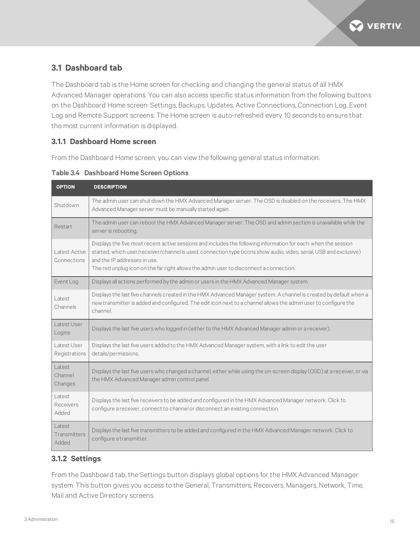

# <span id="page-18-0"></span>**3.1 Dashboard tab**

The Dashboard tab is the Home screen for checking and changing the general status of all HMX Advanced Manager operations. You can also access specific status information from the following buttons on the Dashboard Home screen: Settings, Backups, Updates, Active Connections, Connection Log, Event Log and Remote Support screens. The Home screen is auto-refreshed every 10 seconds to ensure that the most current information is displayed.

# <span id="page-18-1"></span>**3.1.1 Dashboard Home screen**

From the Dashboard Home screen, you can view the following general status information.

| <b>OPTION</b>                                                                                                                                                                                                                                                                                                                                                                                   | <b>DESCRIPTION</b>                                                                                                                                                                                                                                |  |  |
|-------------------------------------------------------------------------------------------------------------------------------------------------------------------------------------------------------------------------------------------------------------------------------------------------------------------------------------------------------------------------------------------------|---------------------------------------------------------------------------------------------------------------------------------------------------------------------------------------------------------------------------------------------------|--|--|
| Shutdown                                                                                                                                                                                                                                                                                                                                                                                        | The admin user can shut down the HMX Advanced Manager server. The OSD is disabled on the receivers. The HMX<br>Advanced Manager server must be manually started again.                                                                            |  |  |
| <b>Restart</b>                                                                                                                                                                                                                                                                                                                                                                                  | The admin user can reboot the HMX Advanced Manager server. The OSD and admin section is unavailable while the<br>server is rebooting.                                                                                                             |  |  |
| Displays the five most recent active sessions and includes the following information for each: when the session<br>started, which user/receiver/channel is used, connection type (icons show audio, video, serial, USB and exclusive)<br>Latest Active<br>and the IP addresses in use.<br>Connections<br>The red unplug icon on the far right allows the admin user to disconnect a connection. |                                                                                                                                                                                                                                                   |  |  |
| Event Log                                                                                                                                                                                                                                                                                                                                                                                       | Displays all actions performed by the admin or users in the HMX Advanced Manager system.                                                                                                                                                          |  |  |
| Latest<br>Channels                                                                                                                                                                                                                                                                                                                                                                              | Displays the last five channels created in the HMX Advanced Manager system. A channel is created by default when a<br>new transmitter is added and configured. The edit icon next to a channel allows the admin user to configure the<br>channel. |  |  |
| Latest User<br>Logins                                                                                                                                                                                                                                                                                                                                                                           | Displays the last five users who logged in (either to the HMX Advanced Manager admin or a receiver).                                                                                                                                              |  |  |
| Latest User<br>Registrations                                                                                                                                                                                                                                                                                                                                                                    | Displays the last five users added to the HMX Advanced Manager system, with a link to edit the user<br>details/permissions.                                                                                                                       |  |  |
| Latest<br>Channel<br>Changes                                                                                                                                                                                                                                                                                                                                                                    | Displays the last five users who changed a channel, either while using the on-screen display (OSD) at a receiver, or via<br>the HMX Advanced Manager admin control panel.                                                                         |  |  |
| Latest<br><b>Receivers</b><br>Added                                                                                                                                                                                                                                                                                                                                                             | Displays the last five receivers to be added and configured in the HMX Advanced Manager network. Click to<br>configure a receiver, connect to channel or disconnect an existing connection.                                                       |  |  |
| Latest<br>Transmitters<br>Added                                                                                                                                                                                                                                                                                                                                                                 | Displays the last five transmitters to be added and configured in the HMX Advanced Manager network. Click to<br>configure a transmitter.                                                                                                          |  |  |

### Table 3.4 Dashboard Home Screen Options

## <span id="page-18-2"></span>**3.1.2 Settings**

From the Dashboard tab, the Settings button displays global options for the HMX Advanced Manager system. This button gives you access to the General, Transmitters, Receivers, Managers, Network, Time, Mail and Active Directory screens.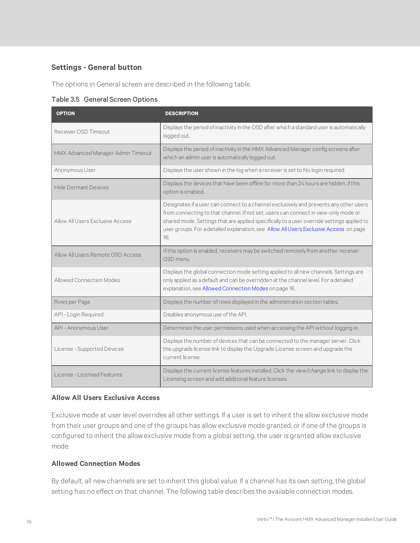# **Settings - General button**

The options in General screen are described in the following table.

| Table 3.5 General Screen Options |  |  |  |
|----------------------------------|--|--|--|
|----------------------------------|--|--|--|

| <b>OPTION</b>                      | <b>DESCRIPTION</b>                                                                                                                                                                                                                                                                                                                                                          |
|------------------------------------|-----------------------------------------------------------------------------------------------------------------------------------------------------------------------------------------------------------------------------------------------------------------------------------------------------------------------------------------------------------------------------|
| Receiver OSD Timeout               | Displays the period of inactivity in the OSD after which a standard user is automatically<br>logged out.                                                                                                                                                                                                                                                                    |
| HMX Advanced Manager Admin Timeout | Displays the period of inactivity in the HMX Advanced Manager config screens after<br>which an admin user is automatically logged out.                                                                                                                                                                                                                                      |
| Anonymous User                     | Displays the user shown in the log when a receiver is set to No login required.                                                                                                                                                                                                                                                                                             |
| <b>Hide Dormant Devices</b>        | Displays the devices that have been offline for more than 24 hours are hidden, if this<br>option is enabled.                                                                                                                                                                                                                                                                |
| Allow All Users Exclusive Access   | Designates if a user can connect to a channel exclusively and prevents any other users<br>from connecting to that channel. If not set, users can connect in view-only mode or<br>shared mode. Settings that are applied specifically to a user override settings applied to<br>user groups. For a detailed explanation, see Allow All Users Exclusive Access on page<br>16. |
| Allow All Users Remote OSD Access  | If this option is enabled, receivers may be switched remotely from another receiver<br>OSD menu.                                                                                                                                                                                                                                                                            |
| Allowed Connection Modes           | Displays the global connection mode setting applied to all new channels. Settings are<br>only applied as a default and can be overridden at the channel level. For a detailed<br>explanation, see Allowed Connection Modes on page 16.                                                                                                                                      |
| Rows per Page                      | Displays the number of rows displayed in the administration section tables.                                                                                                                                                                                                                                                                                                 |
| API - Login Required               | Disables anonymous use of the API.                                                                                                                                                                                                                                                                                                                                          |
| API - Anonymous User               | Determines the user permissions used when accessing the API without logging in.                                                                                                                                                                                                                                                                                             |
| License - Supported Devices        | Displays the number of devices that can be connected to the manager server. Click<br>the upgrade license link to display the Upgrade License screen and upgrade the<br>current license.                                                                                                                                                                                     |
| License - Licensed Features        | Displays the current license features installed. Click the view/change link to display the<br>Licensing screen and add additional feature licenses.                                                                                                                                                                                                                         |

## <span id="page-19-0"></span>**Allow All Users Exclusive Access**

Exclusive mode at user level overrides all other settings. If a user is set to inherit the allow exclusive mode from their user groups and one of the groups has allow exclusive mode granted, or if one of the groups is configured to inherit the allow exclusive mode from a global setting, the user is granted allow exclusive mode.

#### <span id="page-19-1"></span>**Allowed Connection Modes**

By default, all new channels are set to inherit this global value. If a channel has its own setting, the global setting has no effect on that channel. The following table describes the available connection modes.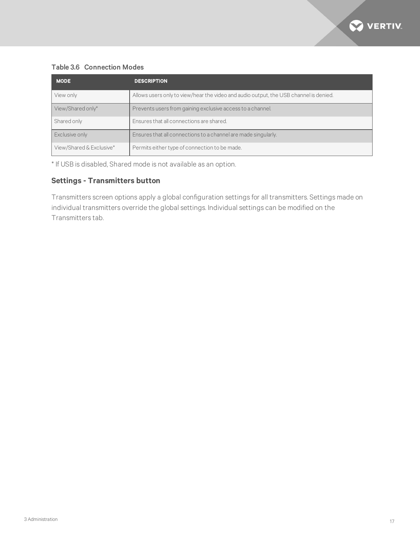

#### Table 3.6 Connection Modes

| <b>MODE</b>              | <b>DESCRIPTION</b>                                                                    |
|--------------------------|---------------------------------------------------------------------------------------|
| View only                | Allows users only to view/hear the video and audio output, the USB channel is denied. |
| View/Shared only*        | Prevents users from gaining exclusive access to a channel.                            |
| Shared only              | Ensures that all connections are shared.                                              |
| Exclusive only           | Ensures that all connections to a channel are made singularly.                        |
| View/Shared & Exclusive* | Permits either type of connection to be made.                                         |

<span id="page-20-0"></span>\* If USB is disabled, Shared mode is not available as an option.

# **Settings - Transmitters button**

Transmitters screen options apply a global configuration settings for all transmitters. Settings made on individual transmitters override the global settings. Individual settings can be modified on the Transmitters tab.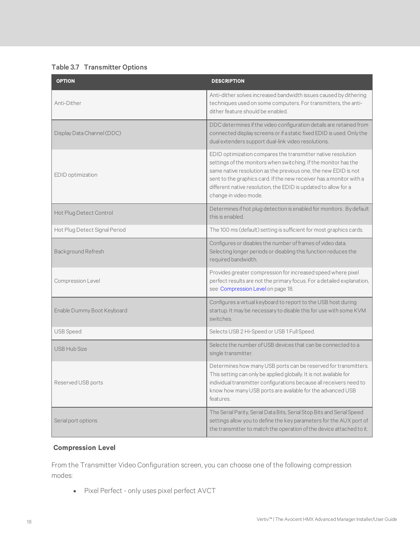# Table 3.7 Transmitter Options

| <b>OPTION</b>                 | <b>DESCRIPTION</b>                                                                                                                                                                                                                                                                                                                                                    |
|-------------------------------|-----------------------------------------------------------------------------------------------------------------------------------------------------------------------------------------------------------------------------------------------------------------------------------------------------------------------------------------------------------------------|
| Anti-Dither                   | Anti-dither solves increased bandwidth issues caused by dithering<br>techniques used on some computers. For transmitters, the anti-<br>dither feature should be enabled.                                                                                                                                                                                              |
| Display Data Channel (DDC)    | DDC determines if the video configuration details are retained from<br>connected display screens or if a static fixed EDID is used. Only the<br>dual extenders support dual-link video resolutions.                                                                                                                                                                   |
| EDID optimization             | EDID optimization compares the transmitter native resolution<br>settings of the monitors when switching. If the monitor has the<br>same native resolution as the previous one, the new EDID is not<br>sent to the graphics card. If the new receiver has a monitor with a<br>different native resolution, the EDID is updated to allow for a<br>change in video mode. |
| Hot Plug Detect Control       | Determines if hot plug detection is enabled for monitors. By default<br>this is enabled.                                                                                                                                                                                                                                                                              |
| Hot Plug Detect Signal Period | The 100 ms (default) setting is sufficient for most graphics cards.                                                                                                                                                                                                                                                                                                   |
| Background Refresh            | Configures or disables the number of frames of video data.<br>Selecting longer periods or disabling this function reduces the<br>required bandwidth.                                                                                                                                                                                                                  |
| Compression Level             | Provides greater compression for increased speed where pixel<br>perfect results are not the primary focus. For a detailed explanation,<br>see Compression Level on page 18.                                                                                                                                                                                           |
| Enable Dummy Boot Keyboard    | Configures a virtual keyboard to report to the USB host during<br>startup. It may be necessary to disable this for use with some KVM<br>switches.                                                                                                                                                                                                                     |
| USB Speed                     | Selects USB 2 Hi-Speed or USB 1 Full Speed.                                                                                                                                                                                                                                                                                                                           |
| <b>USB Hub Size</b>           | Selects the number of USB devices that can be connected to a<br>single transmitter.                                                                                                                                                                                                                                                                                   |
| Reserved USB ports            | Determines how many USB ports can be reserved for transmitters.<br>This setting can only be applied globally. It is not available for<br>individual transmitter configurations because all receivers need to<br>know how many USB ports are available for the advanced USB<br>features.                                                                               |
| Serial port options           | The Serial Parity, Serial Data Bits, Serial Stop Bits and Serial Speed<br>settings allow you to define the key parameters for the AUX port of<br>the transmitter to match the operation of the device attached to it.                                                                                                                                                 |

# <span id="page-21-0"></span>**Compression Level**

From the Transmitter Video Configuration screen, you can choose one of the following compression modes:

• Pixel Perfect - only uses pixel perfect AVCT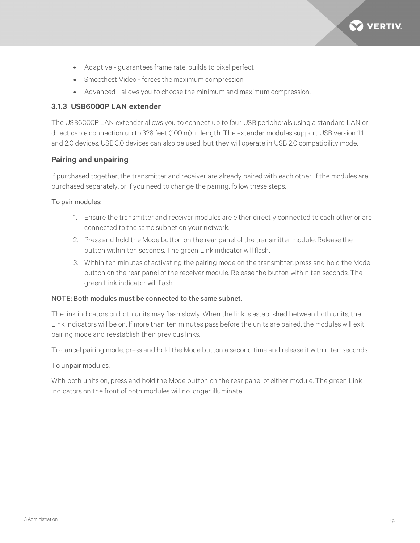

- Adaptive guarantees frame rate, builds to pixel perfect
- Smoothest Video forces the maximum compression
- Advanced allows you to choose the minimum and maximum compression.

## <span id="page-22-0"></span>**3.1.3 USB6000P LAN extender**

The USB6000P LAN extender allows you to connect up to four USB peripherals using a standard LAN or direct cable connection up to 328 feet (100 m) in length. The extender modules support USB version 1.1 and 2.0 devices. USB 3.0 devices can also be used, but they will operate in USB 2.0 compatibility mode.

### **Pairing and unpairing**

If purchased together, the transmitter and receiver are already paired with each other. If the modules are purchased separately, or if you need to change the pairing, follow these steps.

#### To pair modules:

- 1. Ensure the transmitter and receiver modules are either directly connected to each other or are connected to the same subnet on your network.
- 2. Press and hold the Mode button on the rear panel of the transmitter module. Release the button within ten seconds. The green Link indicator will flash.
- 3. Within ten minutes of activating the pairing mode on the transmitter, press and hold the Mode button on the rear panel of the receiver module. Release the button within ten seconds. The green Link indicator will flash.

#### NOTE: Both modules must be connected to the same subnet.

The link indicators on both units may flash slowly. When the link is established between both units, the Link indicators will be on. If more than ten minutes pass before the units are paired, the modules will exit pairing mode and reestablish their previous links.

To cancel pairing mode, press and hold the Mode button a second time and release it within ten seconds.

#### To unpair modules:

With both units on, press and hold the Mode button on the rear panel of either module. The green Link indicators on the front of both modules will no longer illuminate.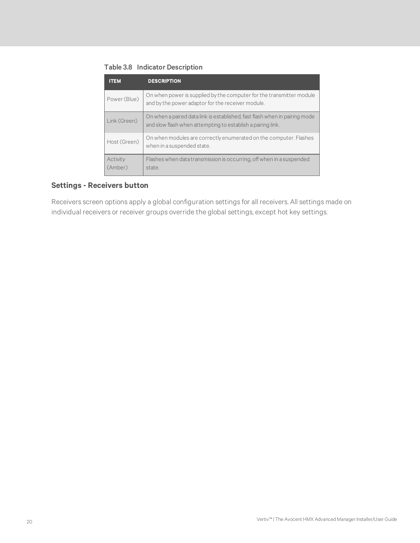|  |  | <b>Table 3.8 Indicator Description</b> |
|--|--|----------------------------------------|
|--|--|----------------------------------------|

| <b>ITEM</b>         | <b>DESCRIPTION</b>                                                                                                                        |
|---------------------|-------------------------------------------------------------------------------------------------------------------------------------------|
| Power (Blue)        | On when power is supplied by the computer for the transmitter module<br>and by the power adaptor for the receiver module.                 |
| Link (Green)        | On when a paired data link is established, fast flash when in pairing mode<br>and slow flash when attempting to establish a pairing link. |
| Host (Green)        | On when modules are correctly enumerated on the computer. Flashes<br>when in a suspended state.                                           |
| Activity<br>(Amber) | Flashes when data transmission is occurring, off when in a suspended<br>state.                                                            |

# **Settings - Receivers button**

Receivers screen options apply a global configuration settings for all receivers. All settings made on individual receivers or receiver groups override the global settings, except hot key settings.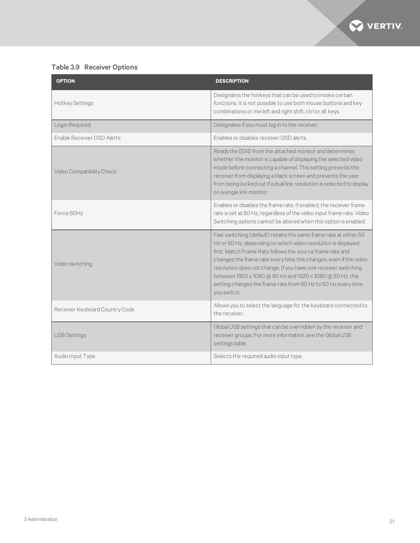

# Table 3.9 Receiver Options

| <b>OPTION</b>                  | <b>DESCRIPTION</b>                                                                                                                                                                                                                                                                                                                                                                                                                                                                  |
|--------------------------------|-------------------------------------------------------------------------------------------------------------------------------------------------------------------------------------------------------------------------------------------------------------------------------------------------------------------------------------------------------------------------------------------------------------------------------------------------------------------------------------|
| Hotkey Settings                | Designates the hotkeys that can be used to invoke certain<br>functions. It is not possible to use both mouse buttons and key<br>combinations or mix left and right shift, ctrl or alt keys.                                                                                                                                                                                                                                                                                         |
| Login Required                 | Designates if you must log in to the receiver.                                                                                                                                                                                                                                                                                                                                                                                                                                      |
| Enable Receiver OSD Alerts     | Enables or disables receiver OSD alerts.                                                                                                                                                                                                                                                                                                                                                                                                                                            |
| Video Compatibility Check      | Reads the EDID from the attached monitor and determines<br>whether the monitor is capable of displaying the selected video<br>mode before connecting a channel. This setting prevents the<br>receiver from displaying a black screen and prevents the user<br>from being locked out if a dual link resolution is selected to display<br>on a single link monitor.                                                                                                                   |
| Force 60Hz                     | Enables or disables the frame rate. If enabled, the receiver frame<br>rate is set at 60 Hz, regardless of the video input frame rate. Video<br>Switching options cannot be altered when this option is enabled.                                                                                                                                                                                                                                                                     |
| Video switching                | Fast switching (default) retains the same frame rate at either 50<br>Hz or 60 Hz, depending on which video resolution is displayed<br>first. Match Frame Rate follows the source frame rate and<br>changes the frame rate every time this changes, even if the video<br>resolution does not change. If you have one receiver switching<br>between 1920 x 1080 @ 60 Hz and 1920 x 1080 @ 50 Hz, this<br>setting changes the frame rate from 60 Hz to 50 Hz every time<br>you switch. |
| Receiver Keyboard Country Code | Allows you to select the language for the keyboard connected to<br>the receiver.                                                                                                                                                                                                                                                                                                                                                                                                    |
| <b>USB Settings</b>            | Global USB settings that can be overridden by the receiver and<br>receiver groups. For more information, see the Global USB<br>settings table.                                                                                                                                                                                                                                                                                                                                      |
| Audio Input Type               | Selects the required audio input type.                                                                                                                                                                                                                                                                                                                                                                                                                                              |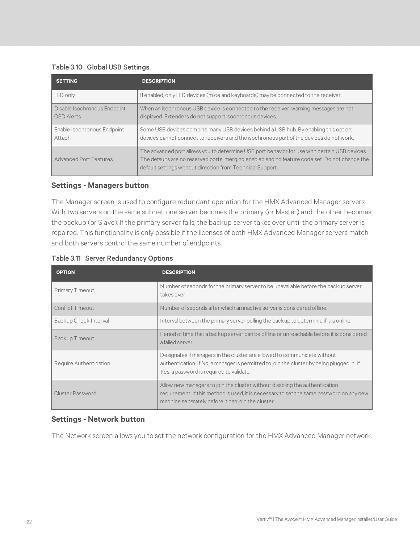#### Table 3.10 Global USB Settings

| <b>SETTING</b>                                    | <b>DESCRIPTION</b>                                                                                                                                                                                                                                            |
|---------------------------------------------------|---------------------------------------------------------------------------------------------------------------------------------------------------------------------------------------------------------------------------------------------------------------|
| HID only                                          | If enabled, only HID devices (mice and keyboards) may be connected to the receiver.                                                                                                                                                                           |
| Disable Isochronous Endpoint<br><b>OSD Alerts</b> | When an isochronous USB device is connected to the receiver, warning messages are not<br>displayed. Extenders do not support isochronous devices.                                                                                                             |
| Enable Isochronous Endpoint<br>Attach             | Some USB devices combine many USB devices behind a USB hub. By enabling this option,<br>devices cannot connect to receivers and the isochronous part of the devices do not work.                                                                              |
| <b>Advanced Port Features</b>                     | The advanced port allows you to determine USB port behavior for use with certain USB devices.<br>The defaults are no reserved ports, merging enabled and no feature code set. Do not change the<br>default settings without direction from Technical Support. |

# **Settings - Managers button**

The Manager screen is used to configure redundant operation for the HMX Advanced Manager servers. With two servers on the same subnet, one server becomes the primary (or Master) and the other becomes the backup (or Slave). If the primary server fails, the backup server takes over until the primary server is repaired. This functionality is only possible if the licenses of both HMX Advanced Manager servers match and both servers control the same number of endpoints.

| <b>OPTION</b>           | <b>DESCRIPTION</b>                                                                                                                                                                                                            |
|-------------------------|-------------------------------------------------------------------------------------------------------------------------------------------------------------------------------------------------------------------------------|
| <b>Primary Timeout</b>  | Number of seconds for the primary server to be unavailable before the backup server<br>takes over.                                                                                                                            |
| <b>Conflict Timeout</b> | Number of seconds after which an inactive server is considered offline.                                                                                                                                                       |
| Backup Check Interval   | Interval between the primary server polling the backup to determine if it is online.                                                                                                                                          |
| Backup Timeout          | Period of time that a backup server can be offline or unreachable before it is considered<br>a failed server.                                                                                                                 |
| Require Authentication  | Designates if managers in the cluster are allowed to communicate without<br>authentication. If No, a manager is permitted to join the cluster by being plugged in. If<br>Yes, a password is required to validate.             |
| Cluster Password        | Allow new managers to join the cluster without disabling the authentication<br>requirement. If this method is used, it is necessary to set the same password on any new<br>machine separately before it can join the cluster. |

#### Table 3.11 Server Redundancy Options

## **Settings - Network button**

The Network screen allows you to set the network configuration for the HMX Advanced Manager network.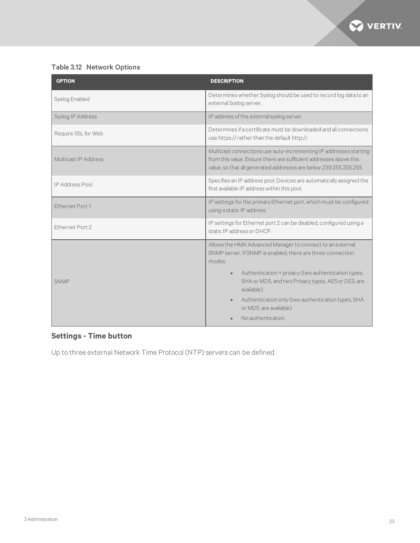

# Table 3.12 Network Options

| <b>OPTION</b>          | <b>DESCRIPTION</b>                                                                                                                                                                                                                                                                                                                                                 |
|------------------------|--------------------------------------------------------------------------------------------------------------------------------------------------------------------------------------------------------------------------------------------------------------------------------------------------------------------------------------------------------------------|
| Syslog Enabled         | Determines whether Syslog should be used to record log data to an<br>external Syslog server.                                                                                                                                                                                                                                                                       |
| Syslog IP Address      | IP address of the external syslog server.                                                                                                                                                                                                                                                                                                                          |
| Require SSL for Web    | Determines if a certificate must be downloaded and all connections<br>use https:// rather than the default http://.                                                                                                                                                                                                                                                |
| Multicast IP Address   | Multicast connections use auto-incrementing IP addresses starting<br>from this value. Ensure there are sufficient addresses above this<br>value, so that all generated addresses are below 239.255.255.255                                                                                                                                                         |
| <b>IP Address Pool</b> | Specifies an IP address pool. Devices are automatically assigned the<br>first available IP address within this pool.                                                                                                                                                                                                                                               |
| Ethernet Port 1        | IP settings for the primary Ethernet port, which must be configured<br>using a static IP address.                                                                                                                                                                                                                                                                  |
| Ethernet Port 2        | IP settings for Ethernet port 2 can be disabled, configured using a<br>static IP address or DHCP                                                                                                                                                                                                                                                                   |
| <b>SNMP</b>            | Allows the HMX Advanced Manager to connect to an external<br>SNMP server. If SNMP is enabled, there are three connection<br>modes:<br>Authentication + privacy (two authentication types,<br>SHA or MD5, and two Privacy types, AES or DES, are<br>available)<br>Authentication only (two authentication types, SHA<br>or MD5, are available)<br>No authentication |

# **Settings - Time button**

Up to three external Network Time Protocol (NTP) servers can be defined.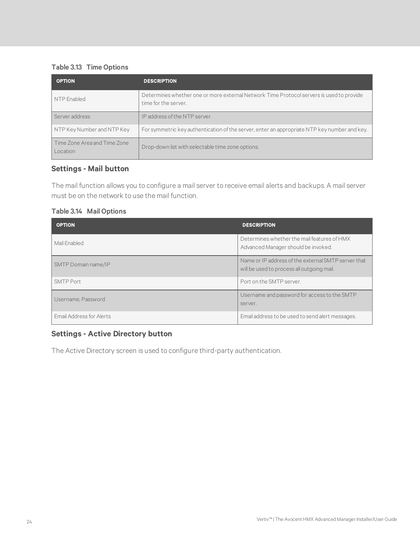# Table 3.13 Time Options

| <b>OPTION</b>                            | <b>DESCRIPTION</b>                                                                                               |
|------------------------------------------|------------------------------------------------------------------------------------------------------------------|
| NTP Enabled                              | Determines whether one or more external Network Time Protocol servers is used to provide<br>time for the server. |
| Server address                           | IP address of the NTP server.                                                                                    |
| NTP Key Number and NTP Key               | For symmetric key authentication of the server, enter an appropriate NTP key number and key.                     |
| Time Zone Area and Time Zone<br>Location | Drop-down list with selectable time zone options.                                                                |

# **Settings - Mail button**

The mail function allows you to configure a mail server to receive email alerts and backups. A mail server must be on the network to use the mail function.

#### Table 3.14 Mail Options

| <b>OPTION</b>            | <b>DESCRIPTION</b>                                                                                |
|--------------------------|---------------------------------------------------------------------------------------------------|
| Mail Enabled             | Determines whether the mail features of HMX<br>Advanced Manager should be invoked.                |
| SMTP Domain name/IP      | Name or IP address of the external SMTP server that<br>will be used to process all outgoing mail. |
| <b>SMTP Port</b>         | Port on the SMTP server.                                                                          |
| Username, Password       | Username and password for access to the SMTP<br>server.                                           |
| Email Address for Alerts | Email address to be used to send alert messages.                                                  |

# **Settings - Active Directory button**

The Active Directory screen is used to configure third-party authentication.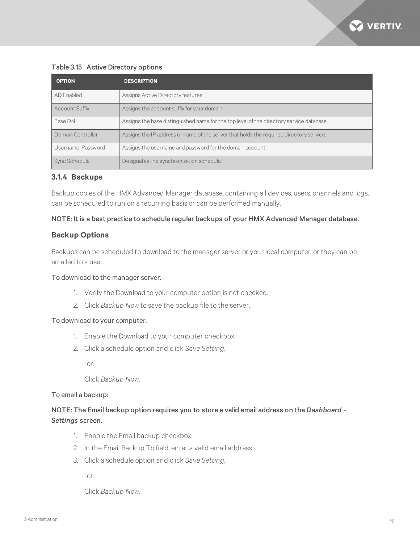

#### Table 3.15 Active Directory options

| <b>OPTION</b>         | <b>DESCRIPTION</b>                                                                       |
|-----------------------|------------------------------------------------------------------------------------------|
| AD Enabled            | Assigns Active Directory features.                                                       |
| <b>Account Suffix</b> | Assigns the account suffix for your domain.                                              |
| Base DN               | Assigns the base distinguished name for the top level of the directory service database. |
| Domain Controller     | Assigns the IP address or name of the server that holds the required directory service.  |
| Username, Password    | Assigns the username and password for the domain account.                                |
| Sync Schedule         | Designates the synchronization schedule.                                                 |

### <span id="page-28-0"></span>**3.1.4 Backups**

Backup copies of the HMX Advanced Manager database, containing all devices, users, channels and logs, can be scheduled to run on a recurring basis or can be performed manually.

#### NOTE: It is a best practice to schedule regular backups of your HMX Advanced Manager database.

#### **Backup Options**

Backups can be scheduled to download to the manager server or your local computer, or they can be emailed to a user.

#### To download to the manager server:

- 1. Verify the Download to your computer option is not checked.
- 2. Click *Backup Now* to save the backup file to the server.

#### To download to your computer:

- 1. Enable the Download to your computer checkbox.
- 2. Click a schedule option and click *Save Setting*.

 $-0r-$ 

Click *Backup Now*.

To email a backup:

## NOTE: The Email backup option requires you to store a valid email address on the *Dashboard - Settings* screen.

- 1. Enable the Email backup checkbox.
- 2. In the Email Backup To field, enter a valid email address.
- 3. Click a schedule option and click *Save Setting*.

-or-

Click *Backup Now*.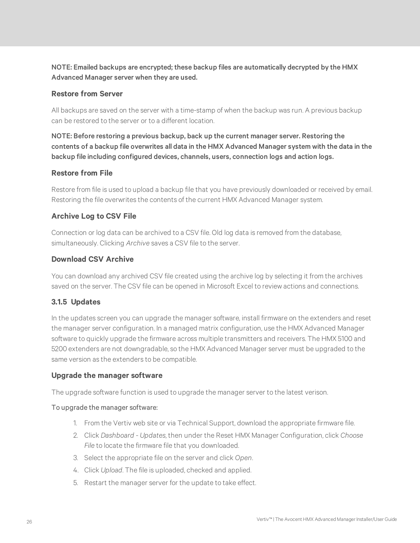NOTE: Emailed backups are encrypted; these backup files are automatically decrypted by the HMX Advanced Manager server when they are used.

## **Restore from Server**

All backups are saved on the server with a time-stamp of when the backup was run. A previous backup can be restored to the server or to a different location.

NOTE: Before restoring a previous backup, back up the current manager server. Restoring the contents of a backup file overwrites all data in the HMX Advanced Manager system with the data in the backup file including configured devices, channels, users, connection logs and action logs.

## **Restore from File**

Restore from file is used to upload a backup file that you have previously downloaded or received by email. Restoring the file overwrites the contents of the current HMX Advanced Manager system.

# **Archive Log to CSV File**

Connection or log data can be archived to a CSV file. Old log data is removed from the database, simultaneously. Clicking *Archive* saves a CSV file to the server.

## **Download CSV Archive**

You can download any archived CSV file created using the archive log by selecting it from the archives saved on the server. The CSV file can be opened in Microsoft Excel to review actions and connections.

# <span id="page-29-0"></span>**3.1.5 Updates**

In the updates screen you can upgrade the manager software, install firmware on the extenders and reset the manager server configuration. In a managed matrix configuration, use the HMX Advanced Manager software to quickly upgrade the firmware across multiple transmitters and receivers. The HMX 5100 and 5200 extenders are not downgradable, so the HMX Advanced Manager server must be upgraded to the same version as the extenders to be compatible.

## **Upgrade the manager software**

The upgrade software function is used to upgrade the manager server to the latest verison.

## To upgrade the manager software:

- 1. From the Vertiv web site or via Technical Support, download the appropriate firmware file.
- 2. Click *Dashboard - Updates*, then under the Reset HMX Manager Configuration, click *Choose File* to locate the firmware file that you downloaded.
- 3. Select the appropriate file on the server and click *Open*.
- 4. Click *Upload*. The file is uploaded, checked and applied.
- 5. Restart the manager server for the update to take effect.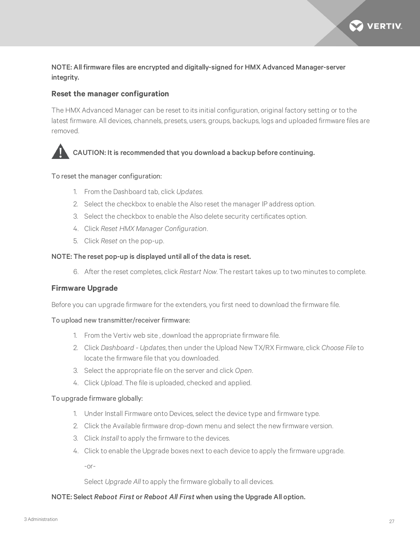

# NOTE: All firmware files are encrypted and digitally-signed for HMX Advanced Manager-server integrity.

### <span id="page-30-0"></span>**Reset the manager configuration**

The HMX Advanced Manager can be reset to its initial configuration, original factory setting or to the latest firmware. All devices, channels, presets, users, groups, backups, logs and uploaded firmware files are removed.

# CAUTION: It is recommended that you download a backup before continuing.

#### To reset the manager configuration:

- 1. From the Dashboard tab, click *Updates*.
- 2. Select the checkbox to enable the Also reset the manager IP address option.
- 3. Select the checkbox to enable the Also delete security certificates option.
- 4. Click *Reset HMX Manager Configuration*.
- 5. Click *Reset* on the pop-up.

#### NOTE: The reset pop-up is displayed until all of the data is reset.

6. After the reset completes, click *Restart Now*. The restart takes up to two minutes to complete.

#### **Firmware Upgrade**

Before you can upgrade firmware for the extenders, you first need to download the firmware file.

#### To upload new transmitter/receiver firmware:

- 1. From the Vertiv web site , download the appropriate firmware file.
- 2. Click *Dashboard - Updates*, then under the Upload New TX/RX Firmware, click *Choose File* to locate the firmware file that you downloaded.
- 3. Select the appropriate file on the server and click *Open*.
- 4. Click *Upload*. The file is uploaded, checked and applied.

#### To upgrade firmware globally:

- 1. Under Install Firmware onto Devices, select the device type and firmware type.
- 2. Click the Available firmware drop-down menu and select the new firmware version.
- 3. Click *Install* to apply the firmware to the devices.
- 4. Click to enable the Upgrade boxes next to each device to apply the firmware upgrade.

 $-or-$ 

Select *Upgrade All* to apply the firmware globally to all devices.

#### NOTE: Select *Reboot First* or *Reboot All First* when using the Upgrade All option.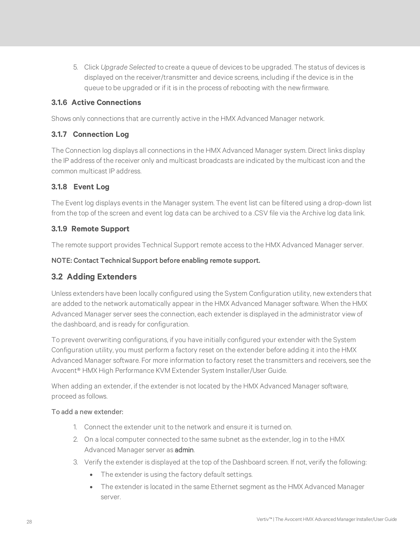5. Click *Upgrade Selected* to create a queue of devices to be upgraded. The status of devices is displayed on the receiver/transmitter and device screens, including if the device is in the queue to be upgraded or if it is in the process of rebooting with the new firmware.

# <span id="page-31-0"></span>**3.1.6 Active Connections**

<span id="page-31-1"></span>Shows only connections that are currently active in the HMX Advanced Manager network.

# **3.1.7 Connection Log**

The Connection log displays all connections in the HMX Advanced Manager system. Direct links display the IP address of the receiver only and multicast broadcasts are indicated by the multicast icon and the common multicast IP address.

# <span id="page-31-2"></span>**3.1.8 Event Log**

The Event log displays events in the Manager system. The event list can be filtered using a drop-down list from the top of the screen and event log data can be archived to a .CSV file via the Archive log data link.

# <span id="page-31-3"></span>**3.1.9 Remote Support**

The remote support provides Technical Support remote access to the HMX Advanced Manager server.

<span id="page-31-4"></span>NOTE: Contact Technical Support before enabling remote support.

# **3.2 Adding Extenders**

Unless extenders have been locally configured using the System Configuration utility, new extenders that are added to the network automatically appear in the HMX Advanced Manager software. When the HMX Advanced Manager server sees the connection, each extender is displayed in the administrator view of the dashboard, and is ready for configuration.

To prevent overwriting configurations, if you have initially configured your extender with the System Configuration utility, you must perform a factory reset on the extender before adding it into the HMX Advanced Manager software. For more information to factory reset the transmitters and receivers, see the Avocent® HMX High Performance KVM Extender System Installer/User Guide.

When adding an extender, if the extender is not located by the HMX Advanced Manager software, proceed as follows.

#### To add a new extender:

- 1. Connect the extender unit to the network and ensure it is turned on.
- 2. On a local computer connected to the same subnet as the extender, log in to the HMX Advanced Manager server as admin.
- 3. Verify the extender is displayed at the top of the Dashboard screen. If not, verify the following:
	- The extender is using the factory default settings.
	- The extender is located in the same Ethernet segment as the HMX Advanced Manager server.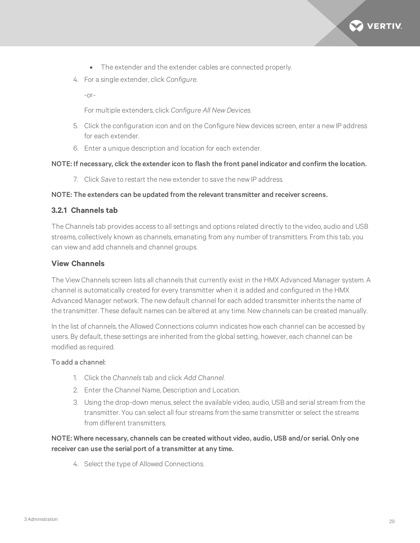

- The extender and the extender cables are connected properly.
- 4. For a single extender, click *Configure*.

 $-0r-$ 

For multiple extenders, click *Configure All New Devices*.

- 5. Click the configuration icon and on the Configure New devices screen, enter a new IP address for each extender.
- 6. Enter a unique description and location for each extender.

#### NOTE: If necessary, click the extender icon to flash the front panel indicator and confirm the location.

7. Click *Save* to restart the new extender to save the new IP address.

#### <span id="page-32-0"></span>NOTE: The extenders can be updated from the relevant transmitter and receiver screens.

#### **3.2.1 Channels tab**

The Channels tab provides access to all settings and options related directly to the video, audio and USB streams, collectively known as channels, emanating from any number of transmitters. From this tab, you can view and add channels and channel groups.

### **View Channels**

The View Channels screen lists all channels that currently exist in the HMX Advanced Manager system. A channel is automatically created for every transmitter when it is added and configured in the HMX Advanced Manager network. The new default channel for each added transmitter inherits the name of the transmitter. These default names can be altered at any time. New channels can be created manually.

In the list of channels, the Allowed Connections column indicates how each channel can be accessed by users. By default, these settings are inherited from the global setting, however, each channel can be modified as required.

## To add a channel:

- 1. Click the *Channels* tab and click *Add Channel*.
- 2. Enter the Channel Name, Description and Location.
- 3. Using the drop-down menus, select the available video, audio, USB and serial stream from the transmitter. You can select all four streams from the same transmitter or select the streams from different transmitters.

# NOTE: Where necessary, channels can be created without video, audio, USB and/or serial. Only one receiver can use the serial port of a transmitter at any time.

4. Select the type of Allowed Connections.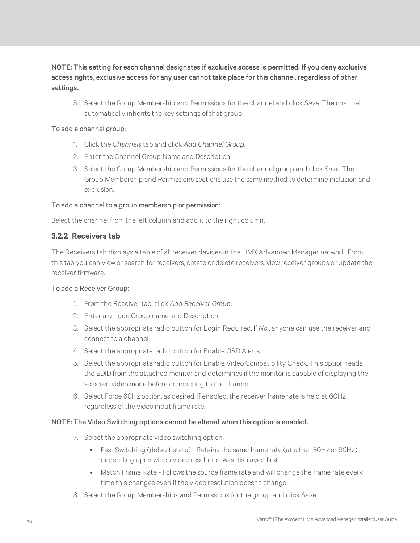# NOTE: This setting for each channel designates if exclusive access is permitted. If you deny exclusive access rights, exclusive access for any user cannot take place for this channel, regardless of other settings.

5. Select the Group Membership and Permissions for the channel and click *Save*. The channel automatically inherits the key settings of that group.

## To add a channel group:

- 1. Click the *Channels* tab and click *Add Channel Group*.
- 2. Enter the Channel Group Name and Description.
- 3. Select the Group Membership and Permissions for the channel group and click *Save*. The Group Membership and Permissions sections use the same method to determine inclusion and exclusion.

#### To add a channel to a group membership or permission:

<span id="page-33-0"></span>Select the channel from the left column and add it to the right column.

## **3.2.2 Receivers tab**

The Receivers tab displays a table of all receiver devices in the HMX Advanced Manager network. From this tab you can view or search for receivers, create or delete receivers, view receiver groups or update the receiver firmware.

#### To add a Receiver Group:

- 1. From the Receiver tab, click *Add Receiver Group*.
- 2. Enter a unique Group name and Description.
- 3. Select the appropriate radio button for Login Required. If *No* , anyone can use the receiver and connect to a channel.
- 4. Select the appropriate radio button for Enable OSD Alerts.
- 5. Select the appropriate radio button for Enable Video Compatibility Check. This option reads the EDID from the attached monitor and determines if the monitor is capable of displaying the selected video mode before connecting to the channel.
- 6. Select Force 60Hz option, as desired. If enabled, the receiver frame rate is held at 60Hz regardless of the video input frame rate.

#### NOTE: The Video Switching options cannot be altered when this option is enabled.

- 7. Select the appropriate video switching option.
	- Fast Switching (default state) Retains the same frame rate (at either 50Hz or 60Hz) depending upon which video resolution was displayed first.
	- Match Frame Rate Follows the source frame rate and will change the frame rate every time this changes even if the video resolution doesn't change.
- 8. Select the Group Memberships and Permissions for the group and click *Save*.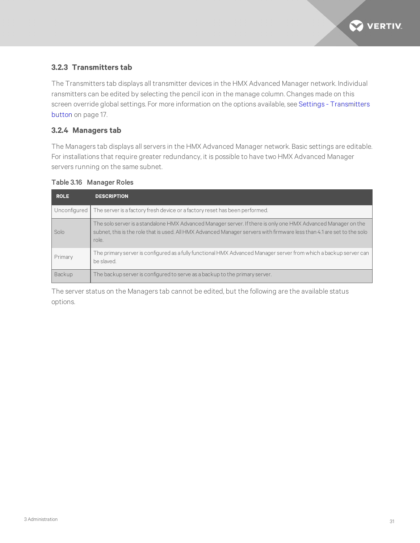

# <span id="page-34-0"></span>**3.2.3 Transmitters tab**

The Transmitters tab displays all transmitter devices in the HMX Advanced Manager network. Individual ransmitters can be edited by selecting the pencil icon in the manage column. Changes made on this screen override global settings. For more information on the options available, see Settings - [Transmitters](#page-20-0) [button](#page-20-0) on page 17.

## <span id="page-34-1"></span>**3.2.4 Managers tab**

The Managers tab displays all servers in the HMX Advanced Manager network. Basic settings are editable. For installations that require greater redundancy, it is possible to have two HMX Advanced Manager servers running on the same subnet.

| <b>ROLE</b>  | <b>DESCRIPTION</b>                                                                                                                                                                                                                                |
|--------------|---------------------------------------------------------------------------------------------------------------------------------------------------------------------------------------------------------------------------------------------------|
| Unconfigured | The server is a factory fresh device or a factory reset has been performed.                                                                                                                                                                       |
| Solo         | The solo server is a standalone HMX Advanced Manager server. If there is only one HMX Advanced Manager on the<br>subnet, this is the role that is used. All HMX Advanced Manager servers with firmware less than 4.1 are set to the solo<br>role. |
| Primary      | The primary server is configured as a fully functional HMX Advanced Manager server from which a backup server can<br>be slaved.                                                                                                                   |
| Backup       | The backup server is configured to serve as a backup to the primary server.                                                                                                                                                                       |

Table 3.16 Manager Roles

The server status on the Managers tab cannot be edited, but the following are the available status options.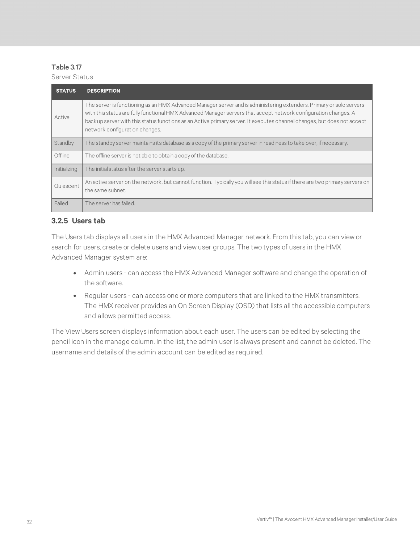#### Table 3.17

Server Status

| <b>STATUS</b> | <b>DESCRIPTION</b>                                                                                                                                                                                                                                                                                                                                                                                 |
|---------------|----------------------------------------------------------------------------------------------------------------------------------------------------------------------------------------------------------------------------------------------------------------------------------------------------------------------------------------------------------------------------------------------------|
| Active        | The server is functioning as an HMX Advanced Manager server and is administering extenders. Primary or solo servers<br>with this status are fully functional HMX Advanced Manager servers that accept network configuration changes. A<br>backup server with this status functions as an Active primary server. It executes channel changes, but does not accept<br>network configuration changes. |
| Standby       | The standby server maintains its database as a copy of the primary server in readiness to take over, if necessary.                                                                                                                                                                                                                                                                                 |
| Offline       | The offline server is not able to obtain a copy of the database.                                                                                                                                                                                                                                                                                                                                   |
| Initializing  | The initial status after the server starts up.                                                                                                                                                                                                                                                                                                                                                     |
| Quiescent     | An active server on the network, but cannot function. Typically you will see this status if there are two primary servers on<br>the same subnet.                                                                                                                                                                                                                                                   |
| Failed        | The server has failed.                                                                                                                                                                                                                                                                                                                                                                             |

# <span id="page-35-0"></span>**3.2.5 Users tab**

The Users tab displays all users in the HMX Advanced Manager network. From this tab, you can view or search for users, create or delete users and view user groups. The two types of users in the HMX Advanced Manager system are:

- Admin users can access the HMX Advanced Manager software and change the operation of the software.
- Regular users can access one or more computers that are linked to the HMX transmitters. The HMX receiver provides an On Screen Display (OSD) that lists all the accessible computers and allows permitted access.

The View Users screen displays information about each user. The users can be edited by selecting the pencil icon in the manage column. In the list, the admin user is always present and cannot be deleted. The username and details of the admin account can be edited as required.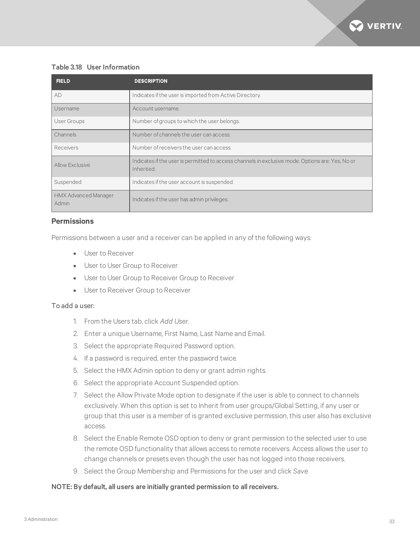

#### Table 3.18 User Information

| <b>FIELD</b>                         | <b>DESCRIPTION</b>                                                                                             |
|--------------------------------------|----------------------------------------------------------------------------------------------------------------|
| <b>AD</b>                            | Indicates if the user is imported from Active Directory.                                                       |
| Username                             | Account username.                                                                                              |
| User Groups                          | Number of groups to which the user belongs.                                                                    |
| Channels                             | Number of channels the user can access.                                                                        |
| Receivers                            | Number of receivers the user can access.                                                                       |
| Allow Exclusive                      | Indicates if the user is permitted to access channels in exclusive mode. Options are: Yes, No or<br>Inherited. |
| Suspended                            | Indicates if the user account is suspended.                                                                    |
| <b>HMX Advanced Manager</b><br>Admin | Indicates if the user has admin privileges.                                                                    |

#### **Permissions**

Permissions between a user and a receiver can be applied in any of the following ways:

- User to Receiver
- User to User Group to Receiver
- User to User Group to Receiver Group to Receiver
- User to Receiver Group to Receiver

#### To add a user:

- 1. From the Users tab, click *Add User*.
- 2. Enter a unique Username, First Name, Last Name and Email.
- 3. Select the appropriate Required Password option.
- 4. If a password is required, enter the password twice.
- 5. Select the HMX Admin option to deny or grant admin rights.
- 6. Select the appropriate Account Suspended option.
- 7. Select the Allow Private Mode option to designate if the user is able to connect to channels exclusively. When this option is set to Inherit from user groups/Global Setting, if any user or group that this user is a member of is granted exclusive permission, this user also has exclusive access.
- 8. Select the Enable Remote OSD option to deny or grant permission to the selected user to use the remote OSD functionality that allows access to remote receivers. Access allows the user to change channels or presets even though the user has not logged into those receivers.
- 9. Select the Group Membership and Permissions for the user and click *Save*

#### NOTE: By default, all users are initially granted permission to allreceivers.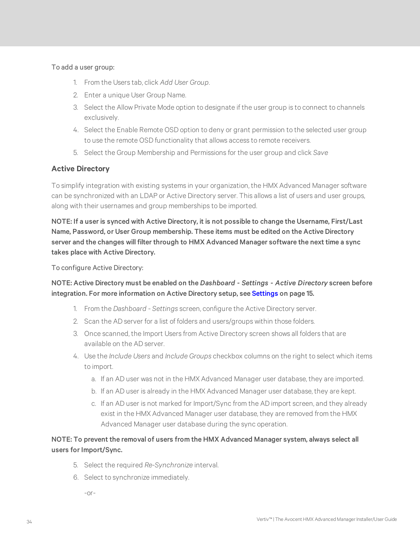#### To add a user group:

- 1. From the Users tab, click *Add User Group*.
- 2. Enter a unique User Group Name.
- 3. Select the Allow Private Mode option to designate if the user group is to connect to channels exclusively.
- 4. Select the Enable Remote OSD option to deny or grant permission to the selected user group to use the remote OSD functionality that allows access to remote receivers.
- 5. Select the Group Membership and Permissions for the user group and click *Save*

## **Active Directory**

To simplify integration with existing systems in your organization, the HMX Advanced Manager software can be synchronized with an LDAP or Active Directory server. This allows a list of users and user groups, along with their usernames and group memberships to be imported.

NOTE: If a user is synced with Active Directory, it is not possible to change the Username, First/Last Name, Password, or User Group membership. These items must be edited on the Active Directory server and the changes will filter through to HMX Advanced Manager software the next time a sync takes place with Active Directory.

To configure Active Directory:

NOTE: Active Directory must be enabled on the *Dashboard - Settings - Active Directory* screen before integration. For more information on Active Directory setup, see [Settings](#page-18-2) on page 15.

- 1. From the *Dashboard - Settings* screen, configure the Active Directory server.
- 2. Scan the AD server for a list of folders and users/groups within those folders.
- 3. Once scanned, the Import Users from Active Directory screen shows all folders that are available on the AD server.
- 4. Use the *Include Users* and *Include Groups* checkbox columns on the right to select which items to import.
	- a. If an AD user was not in the HMX Advanced Manager user database, they are imported.
	- b. If an AD user is already in the HMX Advanced Manager user database, they are kept.
	- c. If an AD user is not marked for Import/Sync from the AD import screen, and they already exist in the HMX Advanced Manager user database, they are removed from the HMX Advanced Manager user database during the sync operation.

# NOTE: To prevent the removal of users from the HMX Advanced Manager system, always select all users for Import/Sync.

- 5. Select the required *Re-Synchronize* interval.
- 6. Select to synchronize immediately.
	- $-0r$ -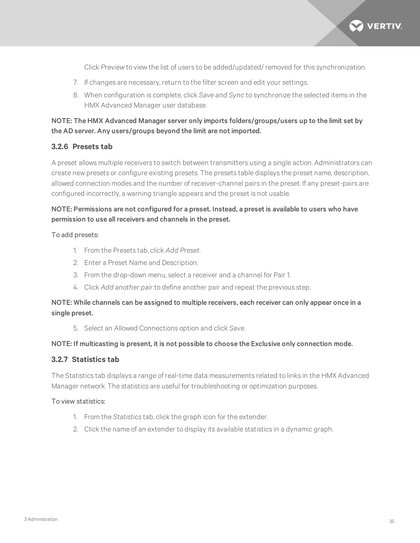

Click *Preview* to view the list of users to be added/updated/ removed for this synchronization.

- 7. If changes are necessary, return to the filter screen and edit your settings.
- 8. When configuration is complete, click *Save and Sync* to synchronize the selected items in the HMX Advanced Manager user database.

## NOTE: The HMX Advanced Manager server only imports folders/groups/users up to the limit set by the AD server. Any users/groups beyond the limit are not imported.

#### <span id="page-38-0"></span>**3.2.6 Presets tab**

A preset allows multiple receivers to switch between transmitters using a single action. Administrators can create new presets or configure existing presets. The presets table displays the preset name, description, allowed connection modes and the number of receiver-channel pairs in the preset. If any preset-pairs are configured incorrectly, a warning triangle appears and the preset is not usable.

## NOTE: Permissions are not configured for a preset. Instead, a preset is available to users who have permission to use all receivers and channels in the preset.

#### To add presets:

- 1. From the Presets tab, click *Add Preset*.
- 2. Enter a Preset Name and Description.
- 3. From the drop-down menu, select a receiver and a channel for Pair 1.
- 4. Click *Add another pair* to define another pair and repeat the previous step.

## NOTE: While channels can be assigned to multiple receivers, each receiver can only appear once in a single preset.

5. Select an Allowed Connections option and click *Save*.

#### <span id="page-38-1"></span>NOTE: If multicasting is present, it is not possible to choose the Exclusive only connection mode.

#### **3.2.7 Statistics tab**

The Statistics tab displays a range of real-time data measurements related to links in the HMX Advanced Manager network. The statistics are useful for troubleshooting or optimization purposes.

#### To view statistics:

- 1. From the *Statistics* tab, click the graph icon for the extender.
- 2. Click the name of an extender to display its available statistics in a dynamic graph.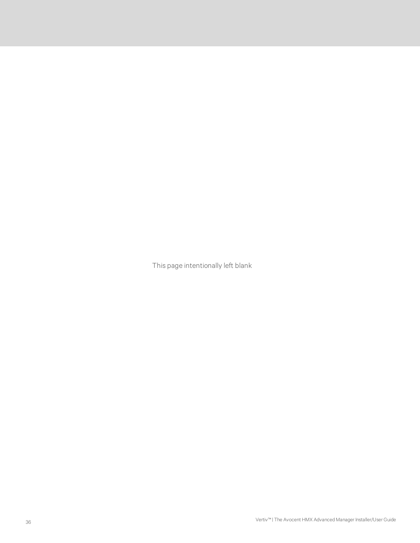This page intentionally left blank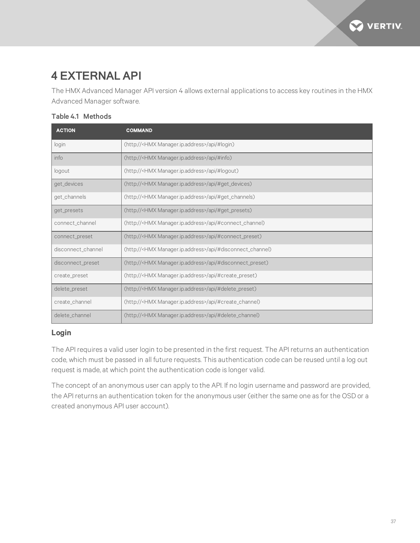**SZ VERTIV** 

# <span id="page-40-0"></span>4 EXTERNAL API

The HMX Advanced Manager API version 4 allows external applications to access key routines in the HMX Advanced Manager software.

| Table 4.1 Methods |
|-------------------|
|-------------------|

| <b>ACTION</b>      | <b>COMMAND</b>                                                      |
|--------------------|---------------------------------------------------------------------|
| login              | (http:// <hmx manager.ip.address="">/api/#login)</hmx>              |
| info               | (http:// <hmx manager.ip.address="">/api/#info)</hmx>               |
| logout             | (http:// <hmx manager.ip.address="">/api/#logout)</hmx>             |
| get devices        | (http:// <hmx manager.ip.address="">/api/#get_devices)</hmx>        |
| get channels       | (http:// <hmx manager.ip.address="">/api/#get_channels)</hmx>       |
| get_presets        | (http:// <hmx manager.ip.address="">/api/#get_presets)</hmx>        |
| connect channel    | (http:// <hmx manager.ip.address="">/api/#connect_channel)</hmx>    |
| connect_preset     | (http:// <hmx manager.ip.address="">/api/#connect_preset)</hmx>     |
| disconnect channel | (http:// <hmx manager.ip.address="">/api/#disconnect_channel)</hmx> |
| disconnect_preset  | (http:// <hmx manager.ip.address="">/api/#disconnect_preset)</hmx>  |
| create_preset      | (http:// <hmx manager.ip.address="">/api/#create_preset)</hmx>      |
| delete_preset      | (http:// <hmx manager.ip.address="">/api/#delete_preset)</hmx>      |
| create channel     | (http:// <hmx manager.ip.address="">/api/#create_channel)</hmx>     |
| delete channel     | (http:// <hmx manager.ip.address="">/api/#delete_channel)</hmx>     |

# **Login**

The API requires a valid user login to be presented in the first request. The API returns an authentication code, which must be passed in all future requests. This authentication code can be reused until a log out request is made, at which point the authentication code is longer valid.

The concept of an anonymous user can apply to the API. If no login username and password are provided, the API returns an authentication token for the anonymous user (either the same one as for the OSD or a created anonymous API user account).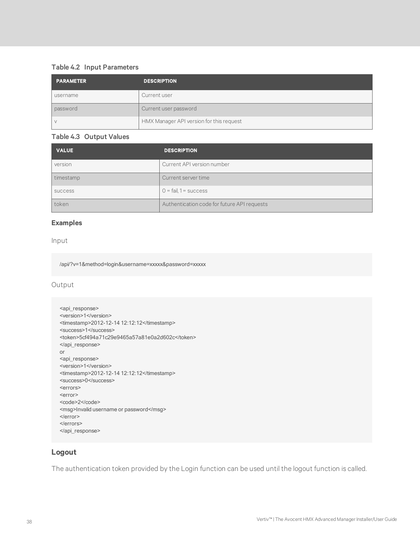#### Table 4.2 Input Parameters

| <b>PARAMETER</b> | <b>DESCRIPTION</b>                       |
|------------------|------------------------------------------|
| username         | Current user                             |
| password         | Current user password                    |
|                  | HMX Manager API version for this request |

#### Table 4.3 Output Values

| <b>VALUE</b>   | <b>DESCRIPTION</b>                          |
|----------------|---------------------------------------------|
| version        | Current API version number                  |
| timestamp      | Current server time                         |
| <b>SUCCESS</b> | $Q = \text{fail}, 1 = \text{success}$       |
| token          | Authentication code for future API requests |

#### **Examples**

#### Input

/api/?v=1&method=login&username=xxxxx&password=xxxxx

#### Output

```
<api_response>
<version>1</version>
<timestamp>2012-12-14 12:12:12</timestamp>
<success>1</success>
<token>5cf494a71c29e9465a57a81e0a2d602c</token>
</api_response>
or
<api_response>
<version>1</version>
<timestamp>2012-12-14 12:12:12</timestamp>
<success>0</success>
<errors>
<error>
<code>2</code>
<msg>Invalid username or password</msg>
</error>
</errors>
</api_response>
```
### **Logout**

The authentication token provided by the Login function can be used until the logout function is called.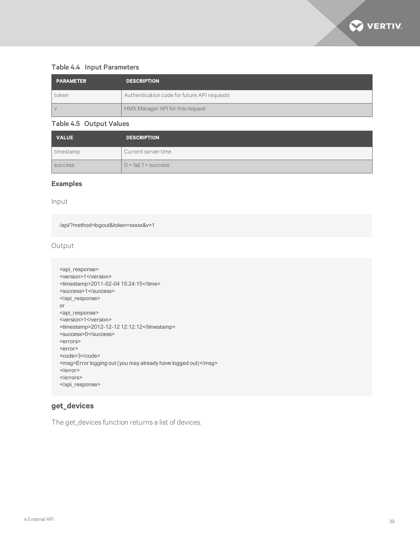

#### Table 4.4 Input Parameters

| <b>PARAMETER</b> | <b>DESCRIPTION</b>                          |
|------------------|---------------------------------------------|
| token            | Authentication code for future API requests |
| $\vee$           | HMX Manager API for this request            |

#### Table 4.5 Output Values

| <b>VALUE</b>   | <b>DESCRIPTION</b>          |
|----------------|-----------------------------|
| timestamp      | Current server time         |
| <b>SUCCESS</b> | $\circ$ = fail, 1 = success |

#### **Examples**

Input

/api/?method=logout&token=xxxxx&v=1

#### Output

<api\_response> <version>1</version> <timestamp>2011-02-04 15:24:15</time> <success>1</success> </api\_response> or <api\_response> <version>1</version> <timestamp>2012-12-12 12:12:12</timestamp> <success>0</success> <errors> <error> <code>3</code> <msg>Error logging out (you may already have logged out)</msg> </error> </errors> </api\_response>

## **get\_devices**

The get\_devices function returns a list of devices.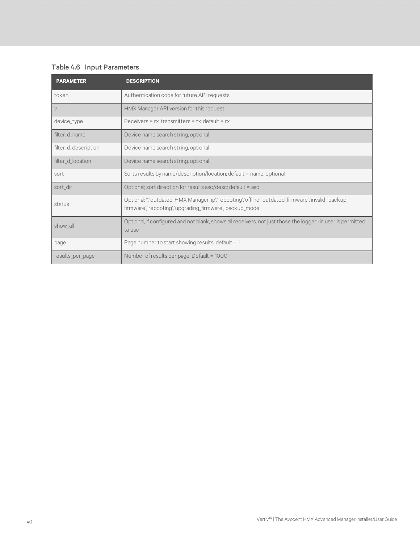# Table 4.6 Input Parameters

| <b>PARAMETER</b>     | <b>DESCRIPTION</b>                                                                                                                                           |
|----------------------|--------------------------------------------------------------------------------------------------------------------------------------------------------------|
| token                | Authentication code for future API requests                                                                                                                  |
| $\vee$               | HMX Manager API version for this request                                                                                                                     |
| device_type          | Receivers = $rx$ , transmitters = $tx$ ; default = $rx$                                                                                                      |
| filter_d_name        | Device name search string, optional                                                                                                                          |
| filter_d_description | Device name search string, optional                                                                                                                          |
| filter d location    | Device name search string, optional                                                                                                                          |
| sort                 | Sorts results by name/description/location; default = name, optional                                                                                         |
| sort dir             | Optional; sort direction for results asc/desc; default = asc                                                                                                 |
| status               | Optional; ",'outdated_HMX Manager_ip','rebooting','offline','outdated_firmware','invalid_backup_<br>firmware','rebooting','upgrading_firmware','backup_mode' |
| show_all             | Optional; if configured and not blank, shows all receivers, not just those the logged-in user is permitted<br>to use                                         |
| page                 | Page number to start showing results; default = 1                                                                                                            |
| results_per_page     | Number of results per page. Default = 1000                                                                                                                   |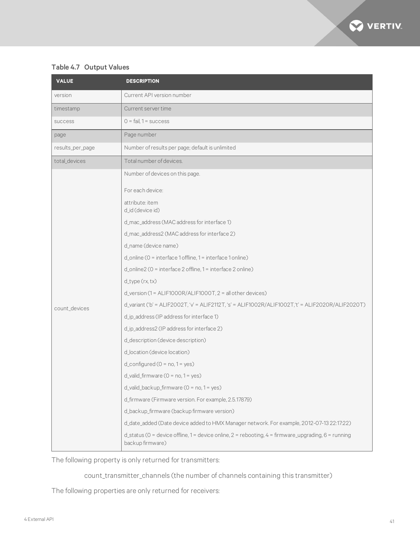

# Table 4.7 Output Values

| <b>VALUE</b>     | <b>DESCRIPTION</b>                                                                                                      |
|------------------|-------------------------------------------------------------------------------------------------------------------------|
| version          | Current API version number                                                                                              |
| timestamp        | Current server time                                                                                                     |
| <b>SUCCESS</b>   | $0 = \text{fail}, 1 = \text{success}$                                                                                   |
| page             | Page number                                                                                                             |
| results_per_page | Number of results per page; default is unlimited                                                                        |
| total_devices    | Total number of devices.                                                                                                |
|                  | Number of devices on this page.                                                                                         |
|                  | For each device:                                                                                                        |
|                  | attribute: item<br>d id (device id)                                                                                     |
|                  | d_mac_address (MAC address for interface 1)                                                                             |
|                  | d_mac_address2 (MAC address for interface 2)                                                                            |
|                  | d name (device name)                                                                                                    |
|                  | d_online (0 = interface 1 offline, 1 = interface 1 online)                                                              |
|                  | d_online2 (0 = interface 2 offline, 1 = interface 2 online)                                                             |
|                  | d_type (rx, tx)                                                                                                         |
|                  | $d_{\text{v}}$ version (1 = ALIF1000R/ALIF1000T, 2 = all other devices)                                                 |
| count_devices    | d_variant ('b' = ALIF2002T, 'v' = ALIF2112T, 's' = ALIF1002R/ALIF1002T,'t' = ALIF2020R/ALIF2020T)                       |
|                  | d_ip_address (IP address for interface 1)                                                                               |
|                  | d_ip_address2 (IP address for interface 2)                                                                              |
|                  | d_description (device description)                                                                                      |
|                  | d location (device location)                                                                                            |
|                  | $d_{\text{configured}}(0 = no, 1 = yes)$                                                                                |
|                  | $d_{value}$ firmware (0 = no, 1 = yes)                                                                                  |
|                  | $d_value$ backup_firmware (0 = no, 1 = yes)                                                                             |
|                  | d_firmware (Firmware version. For example, 2.5.17879)                                                                   |
|                  | d_backup_firmware (backup firmware version)                                                                             |
|                  | d_date_added (Date device added to HMX Manager network. For example, 2012-07-13 22:17:22)                               |
|                  | d_status (0 = device offline, 1 = device online, 2 = rebooting, 4 = firmware_upgrading, 6 = running<br>backup firmware) |

The following property is only returned for transmitters:

count\_transmitter\_channels (the number of channels containing this transmitter)

The following properties are only returned for receivers: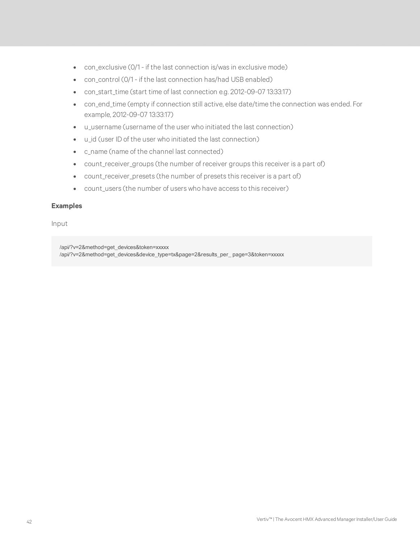- con\_exclusive (0/1 if the last connection is/was in exclusive mode)
- con\_control (0/1 if the last connection has/had USB enabled)
- con\_start\_time (start time of last connection e.g. 2012-09-07 13:33:17)
- con\_end\_time (empty if connection still active, else date/time the connection was ended. For example, 2012-09-07 13:33:17)
- u username (username of the user who initiated the last connection)
- u id (user ID of the user who initiated the last connection)
- c\_name (name of the channel last connected)
- count\_receiver\_groups (the number of receiver groups this receiver is a part of)
- count\_receiver\_presets (the number of presets this receiver is a part of)
- count users (the number of users who have access to this receiver)

#### **Examples**

Input

/api/?v=2&method=get\_devices&token=xxxxx /api/?v=2&method=get\_devices&device\_type=tx&page=2&results\_per\_ page=3&token=xxxxx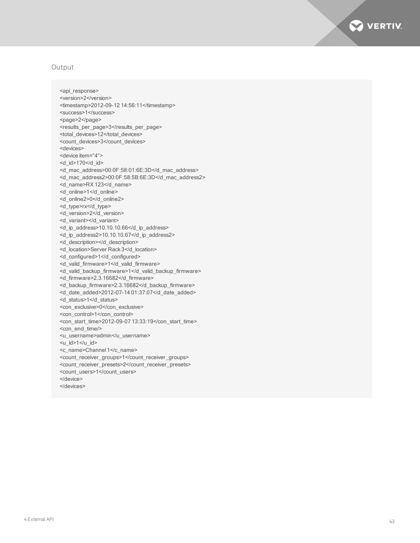

#### Output

<api\_response> <version>2</version> <timestamp>2012-09-12 14:56:11</timestamp> <success>1</success> <page>2</page> <results\_per\_page>3</results\_per\_page> <total\_devices>12</total\_devices> <count\_devices>3</count\_devices> <devices> <device item="4"> <d\_id>170</d\_id> <d\_mac\_address>00:0F:58:01:6E:3D</d\_mac\_address> <d\_mac\_address2>00:0F:58:5B:6E:3D</d\_mac\_address2> <d\_name>RX 123</d\_name> <d\_online>1</d\_online> <d\_online2>0</d\_online2> <d\_type>rx</d\_type> <d\_version>2</d\_version> <d\_variant></d\_variant> <d\_ip\_address>10.10.10.66</d\_ip\_address> <d\_ip\_address2>10.10.10.67</d\_ip\_address2> <d description></d description> <d\_location>Server Rack 3</d\_location> <d\_configured>1</d\_configured> <d\_valid\_firmware>1</d\_valid\_firmware> <d\_valid\_backup\_firmware>1</d\_valid\_backup\_firmware> <d\_firmware>2.3.16682</d\_firmware> <d\_backup\_firmware>2.3.16682</d\_backup\_firmware> <d\_date\_added>2012-07-14 01:37:07</d\_date\_added> <d\_status>1</d\_status> <con\_exclusive>0</con\_exclusive> <con\_control>1</con\_control> <con\_start\_time>2012-09-07 13:33:19</con\_start\_time> <con\_end\_time/> <u\_username>admin</u\_username> <u\_id>1</u\_id> <c\_name>Channel 1</c\_name> <count\_receiver\_groups>1</count\_receiver\_groups> <count\_receiver\_presets>2</count\_receiver\_presets> <count\_users>1</count\_users> </device> </devices>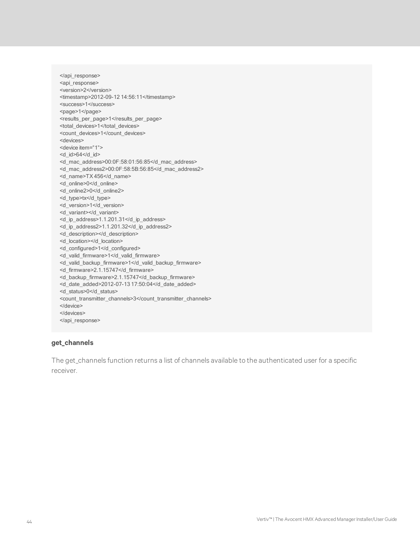</api\_response> <api\_response> <version>2</version> <timestamp>2012-09-12 14:56:11</timestamp> <success>1</success> <page>1</page> <results\_per\_page>1</results\_per\_page> <total\_devices>1</total\_devices> <count\_devices>1</count\_devices> <devices> <device item="1"> <d\_id>64</d\_id> <d\_mac\_address>00:0F:58:01:56:85</d\_mac\_address> <d\_mac\_address2>00:0F:58:5B:56:85</d\_mac\_address2> <d\_name>TX 456</d\_name> <d\_online>0</d\_online> <d\_online2>0</d\_online2> <d\_type>tx</d\_type> <d\_version>1</d\_version> <d\_variant></d\_variant> <d\_ip\_address>1.1.201.31</d\_ip\_address> <d\_ip\_address2>1.1.201.32</d\_ip\_address2> <d\_description></d\_description> <d\_location></d\_location> <d\_configured>1</d\_configured> <d\_valid\_firmware>1</d\_valid\_firmware> <d\_valid\_backup\_firmware>1</d\_valid\_backup\_firmware> <d\_firmware>2.1.15747</d\_firmware> <d\_backup\_firmware>2.1.15747</d\_backup\_firmware> <d\_date\_added>2012-07-13 17:50:04</d\_date\_added> <d\_status>0</d\_status> <count\_transmitter\_channels>3</count\_transmitter\_channels> </device> </devices> </api\_response>

#### **get\_channels**

The get\_channels function returns a list of channels available to the authenticated user for a specific receiver.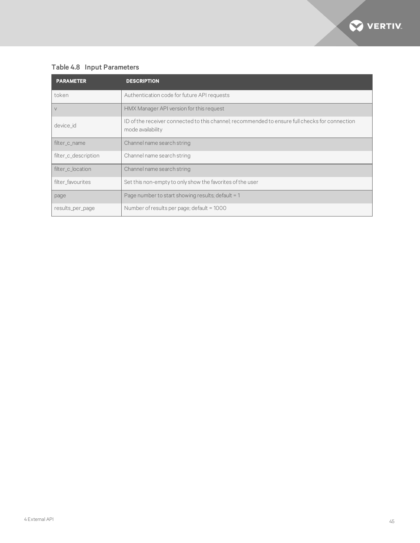

# Table 4.8 Input Parameters

| <b>PARAMETER</b>     | <b>DESCRIPTION</b>                                                                                                  |
|----------------------|---------------------------------------------------------------------------------------------------------------------|
| token                | Authentication code for future API requests                                                                         |
| $\vee$               | HMX Manager API version for this request                                                                            |
| device id            | ID of the receiver connected to this channel; recommended to ensure full checks for connection<br>mode availability |
| filter c name        | Channel name search string                                                                                          |
| filter_c_description | Channel name search string                                                                                          |
| filter c location    | Channel name search string                                                                                          |
| filter favourites    | Set this non-empty to only show the favorites of the user                                                           |
| page                 | Page number to start showing results; default = 1                                                                   |
| results_per_page     | Number of results per page; default = 1000                                                                          |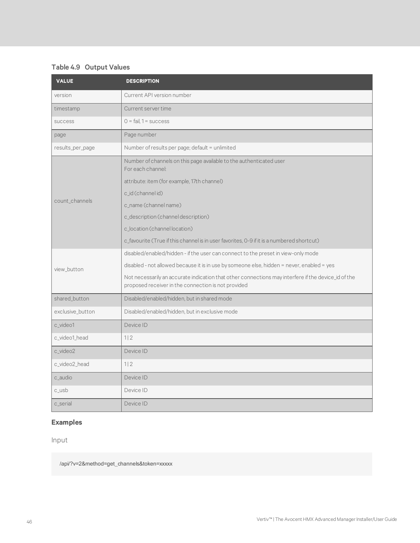# Table 4.9 Output Values

| <b>VALUE</b>     | <b>DESCRIPTION</b>                                                                                                                                         |
|------------------|------------------------------------------------------------------------------------------------------------------------------------------------------------|
| version          | Current API version number                                                                                                                                 |
| timestamp        | Current server time                                                                                                                                        |
| success          | $0 = \text{fail}$ , 1 = success                                                                                                                            |
| page             | Page number                                                                                                                                                |
| results_per_page | Number of results per page; default = unlimited                                                                                                            |
|                  | Number of channels on this page available to the authenticated user<br>For each channel:                                                                   |
|                  | attribute: item (for example, 17th channel)                                                                                                                |
|                  | c id (channel id)                                                                                                                                          |
| count channels   | c name (channel name)                                                                                                                                      |
|                  | c_description (channel description)                                                                                                                        |
|                  | c_location (channel location)                                                                                                                              |
|                  | c_favourite (True if this channel is in user favorites, 0-9 if it is a numbered shortcut)                                                                  |
|                  | disabled/enabled/hidden - if the user can connect to the preset in view-only mode                                                                          |
| view_button      | disabled - not allowed because it is in use by someone else, hidden = never, enabled = yes                                                                 |
|                  | Not necessarily an accurate indication that other connections may interfere if the device_id of the<br>proposed receiver in the connection is not provided |
| shared_button    | Disabled/enabled/hidden, but in shared mode                                                                                                                |
| exclusive_button | Disabled/enabled/hidden, but in exclusive mode                                                                                                             |
| c_video1         | Device ID                                                                                                                                                  |
| c_video1_head    | 1 2                                                                                                                                                        |
| c_video2         | Device ID                                                                                                                                                  |
| c_video2_head    | 1 2                                                                                                                                                        |
| c_audio          | Device ID                                                                                                                                                  |
| c_usb            | Device ID                                                                                                                                                  |
| c_serial         | Device ID                                                                                                                                                  |

## **Examples**

Input

/api/?v=2&method=get\_channels&token=xxxxx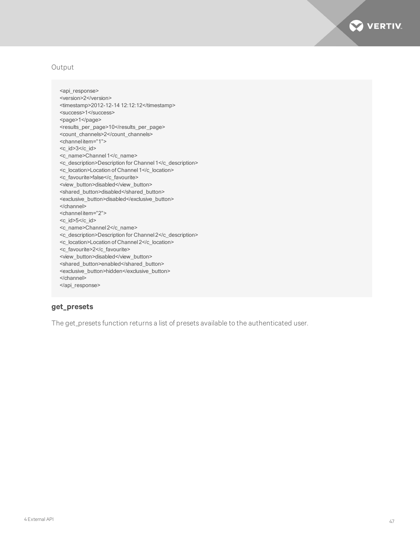

#### Output

<api\_response> <version>2</version> <timestamp>2012-12-14 12:12:12</timestamp> <success>1</success> <page>1</page> <results\_per\_page>10</results\_per\_page> <count\_channels>2</count\_channels> <channel item="1"> <c\_id>3</c\_id> <c\_name>Channel 1</c\_name> <c\_description>Description for Channel 1</c\_description> <c\_location>Location of Channel 1</c\_location> <c\_favourite>false</c\_favourite> <view\_button>disabled</view\_button> <shared\_button>disabled</shared\_button> <exclusive\_button>disabled</exclusive\_button> </channel> <channel item="2">  $<$ c id $>5$  $<$ /c id $>$ <c\_name>Channel 2</c\_name> <c\_description>Description for Channel 2</c\_description> <c\_location>Location of Channel 2</c\_location> <c\_favourite>2</c\_favourite> <view\_button>disabled</view\_button> <shared\_button>enabled</shared\_button> <exclusive\_button>hidden</exclusive\_button> </channel> </api\_response>

#### **get\_presets**

The get\_presets function returns a list of presets available to the authenticated user.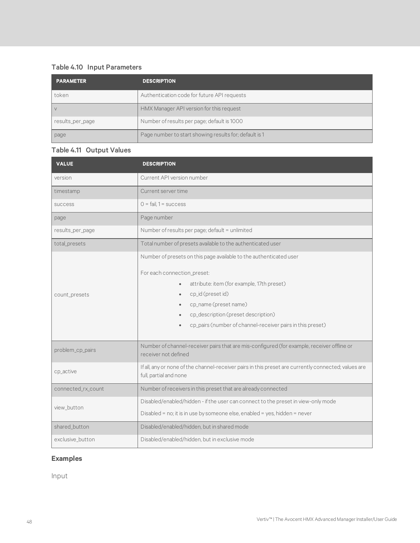# Table 4.10 Input Parameters

| <b>PARAMETER</b> | <b>DESCRIPTION</b>                                     |
|------------------|--------------------------------------------------------|
| token            | Authentication code for future API requests            |
|                  | HMX Manager API version for this request               |
| results_per_page | Number of results per page; default is 1000            |
| page             | Page number to start showing results for; default is 1 |

# Table 4.11 Output Values

| <b>VALUE</b>       | <b>DESCRIPTION</b>                                                                                                                                                                                                                                     |
|--------------------|--------------------------------------------------------------------------------------------------------------------------------------------------------------------------------------------------------------------------------------------------------|
| version            | Current API version number                                                                                                                                                                                                                             |
| timestamp          | Current server time                                                                                                                                                                                                                                    |
| <b>SUCCESS</b>     | $0 = \text{fail}$ . 1 = success                                                                                                                                                                                                                        |
| page               | Page number                                                                                                                                                                                                                                            |
| results_per_page   | Number of results per page; default = unlimited                                                                                                                                                                                                        |
| total_presets      | Total number of presets available to the authenticated user                                                                                                                                                                                            |
|                    | Number of presets on this page available to the authenticated user                                                                                                                                                                                     |
| count_presets      | For each connection_preset:<br>attribute: item (for example, 17th preset)<br>$\bullet$<br>cp_id (preset id)<br>$\bullet$<br>cp_name (preset name)<br>cp_description (preset description)<br>cp_pairs (number of channel-receiver pairs in this preset) |
| problem_cp_pairs   | Number of channel-receiver pairs that are mis-configured (for example, receiver offline or<br>receiver not defined                                                                                                                                     |
| cp_active          | If all, any or none of the channel-receiver pairs in this preset are currently connected; values are<br>full, partial and none                                                                                                                         |
| connected_rx_count | Number of receivers in this preset that are already connected                                                                                                                                                                                          |
| view button        | Disabled/enabled/hidden - if the user can connect to the preset in view-only mode<br>Disabled = no; it is in use by someone else, enabled = yes, hidden = never                                                                                        |
| shared_button      | Disabled/enabled/hidden, but in shared mode                                                                                                                                                                                                            |
| exclusive_button   | Disabled/enabled/hidden, but in exclusive mode                                                                                                                                                                                                         |

# **Examples**

Input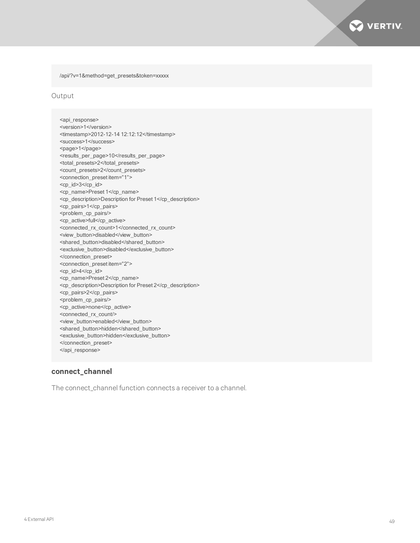

/api/?v=1&method=get\_presets&token=xxxxx

#### Output

<api\_response> <version>1</version> <timestamp>2012-12-14 12:12:12</timestamp> <success>1</success> <page>1</page> <results\_per\_page>10</results\_per\_page> <total\_presets>2</total\_presets> <count\_presets>2</count\_presets> <connection\_preset item="1"> <cp\_id>3</cp\_id> <cp\_name>Preset 1</cp\_name> <cp\_description>Description for Preset 1</cp\_description> <cp\_pairs>1</cp\_pairs> <problem\_cp\_pairs/> <cp\_active>full</cp\_active> <connected\_rx\_count>1</connected\_rx\_count> <view\_button>disabled</view\_button> <shared\_button>disabled</shared\_button> <exclusive\_button>disabled</exclusive\_button> </connection\_preset> <connection\_preset item="2"> <cp\_id>4</cp\_id> <cp\_name>Preset 2</cp\_name> <cp\_description>Description for Preset 2</cp\_description> <cp\_pairs>2</cp\_pairs> <problem\_cp\_pairs/> <cp\_active>none</cp\_active> <connected\_rx\_count/> <view\_button>enabled</view\_button> <shared\_button>hidden</shared\_button> <exclusive\_button>hidden</exclusive\_button> </connection\_preset> </api\_response>

#### **connect\_channel**

The connect\_channel function connects a receiver to a channel.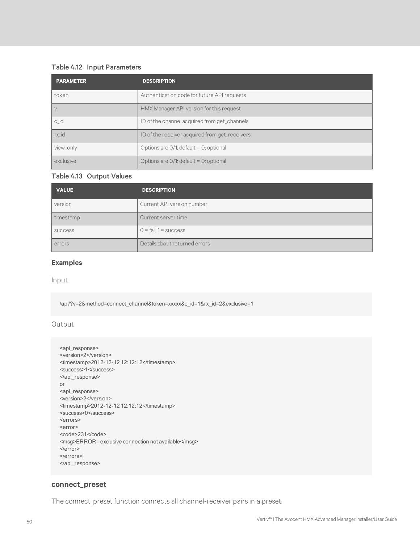#### Table 4.12 Input Parameters

| <b>PARAMETER</b> | <b>DESCRIPTION</b>                             |
|------------------|------------------------------------------------|
| token            | Authentication code for future API requests    |
|                  | HMX Manager API version for this request       |
| c_id             | ID of the channel acquired from get_channels   |
| rx id            | ID of the receiver acquired from get_receivers |
| view only        | Options are $O/1$ ; default = 0; optional      |
| exclusive        | Options are $O/1$ ; default = 0; optional      |

#### Table 4.13 Output Values

| <b>VALUE</b>   | <b>DESCRIPTION</b>              |
|----------------|---------------------------------|
| version        | Current API version number      |
| timestamp      | Current server time             |
| <b>SUCCESS</b> | $Q = \text{fail}$ , 1 = success |
| errors         | Details about returned errors   |

#### **Examples**

Input

/api/?v=2&method=connect\_channel&token=xxxxx&c\_id=1&rx\_id=2&exclusive=1

#### Output

```
<api_response>
<version>2</version>
<timestamp>2012-12-12 12:12:12</timestamp>
<success>1</success>
</api_response>
or
<api_response>
<version>2</version>
<timestamp>2012-12-12 12:12:12</timestamp>
<success>0</success>
<errors>
<error>
<code>231</code>
<msg>ERROR - exclusive connection not available</msg>
</error>
</errors>|
</api_response>
```
#### **connect\_preset**

The connect\_preset function connects all channel-receiver pairs in a preset.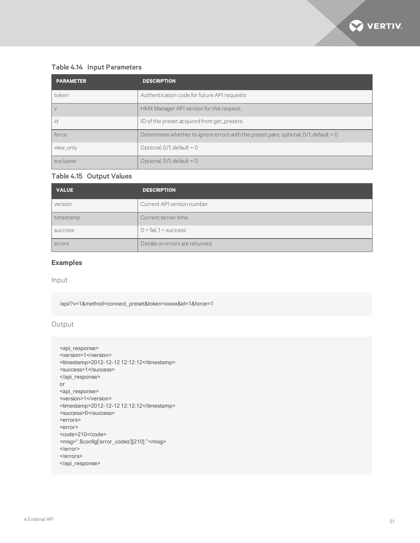

### Table 4.14 Input Parameters

| <b>PARAMETER</b> | <b>DESCRIPTION</b>                                                                       |
|------------------|------------------------------------------------------------------------------------------|
| token            | Authentication code for future API requests                                              |
|                  | HMX Manager API version for this request.                                                |
| id               | ID of the preset acquired from get_presets.                                              |
| force            | Determines whether to ignore errors with the preset pairs, optional, $O/1$ ; default = 0 |
| view only        | Optional, $O/1$ ; default = 0                                                            |
| exclusive        | Optional, $O/1$ ; default = 0                                                            |

#### Table 4.15 Output Values

| <b>VALUE</b>   | <b>DESCRIPTION</b>                    |
|----------------|---------------------------------------|
| version        | Current API version number            |
| timestamp      | Current server time                   |
| <b>SUCCESS</b> | $Q = \text{fail}, 1 = \text{success}$ |
| errors         | Details on errors are returned        |

#### **Examples**

Input

/api/?v=1&method=connect\_preset&token=xxxxx&id=1&force=1

#### Output

```
<api_response>
<version>1</version>
<timestamp>2012-12-12 12:12:12</timestamp>
<success>1</success>
</api_response>
or
<api_response>
<version>1</version>
<timestamp>2012-12-12 12:12:12</timestamp>
<success>0</success>
<errors>
<error>
<code>210</code>
<msg>".$config['error_codes'][210]."</msg>
</error>
</errors>
</api_response>
```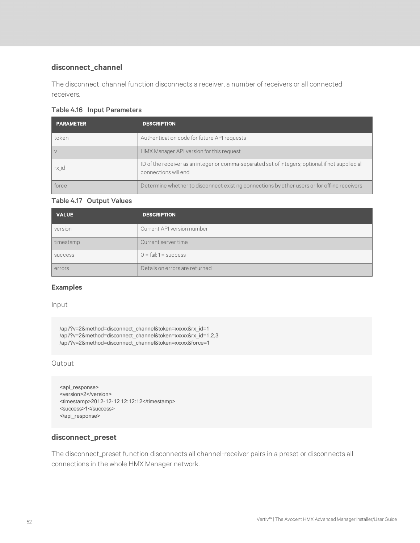# **disconnect\_channel**

The disconnect\_channel function disconnects a receiver, a number of receivers or all connected receivers.

#### Table 4.16 Input Parameters

| <b>PARAMETER</b> | <b>DESCRIPTION</b>                                                                                                         |
|------------------|----------------------------------------------------------------------------------------------------------------------------|
| token            | Authentication code for future API requests                                                                                |
|                  | HMX Manager API version for this request                                                                                   |
| rx id            | ID of the receiver as an integer or comma-separated set of integers; optional, if not supplied all<br>connections will end |
| force            | Determine whether to disconnect existing connections by other users or for offline receivers                               |

#### Table 4.17 Output Values

| <b>VALUE</b>   | <b>DESCRIPTION</b>              |
|----------------|---------------------------------|
| version        | Current API version number      |
| timestamp      | Current server time             |
| <b>SUCCESS</b> | $Q = \text{fail}$ ; 1 = success |
| errors         | Details on errors are returned  |

#### **Examples**

Input

```
/api/?v=2&method=disconnect_channel&token=xxxxx&rx_id=1
/api/?v=2&method=disconnect_channel&token=xxxxx&rx_id=1,2,3
/api/?v=2&method=disconnect_channel&token=xxxxx&force=1
```
#### Output

```
<api_response>
<version>2</version>
<timestamp>2012-12-12 12:12:12</timestamp>
<success>1</success>
</api_response>
```
#### **disconnect\_preset**

The disconnect\_preset function disconnects all channel-receiver pairs in a preset or disconnects all connections in the whole HMX Manager network.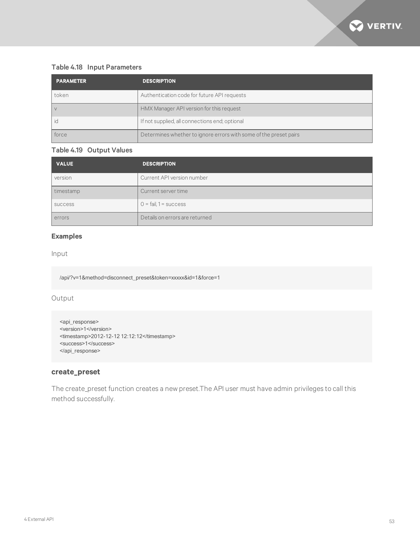

#### Table 4.18 Input Parameters

| <b>PARAMETER</b> | <b>DESCRIPTION</b>                                                |
|------------------|-------------------------------------------------------------------|
| token            | Authentication code for future API requests                       |
|                  | HMX Manager API version for this request                          |
| id               | If not supplied, all connections end; optional                    |
| force            | Determines whether to ignore errors with some of the preset pairs |

#### Table 4.19 Output Values

| <b>VALUE</b>   | <b>DESCRIPTION</b>                    |
|----------------|---------------------------------------|
| version        | Current API version number            |
| timestamp      | Current server time                   |
| <b>SUCCESS</b> | $0 = \text{fail}, 1 = \text{success}$ |
| errors         | Details on errors are returned        |

#### **Examples**

Input

/api/?v=1&method=disconnect\_preset&token=xxxxx&id=1&force=1

#### Output

```
<api_response>
<version>1</version>
<timestamp>2012-12-12 12:12:12</timestamp>
<success>1</success>
</api_response>
```
#### **create\_preset**

The create\_preset function creates a new preset.The API user must have admin privileges to call this method successfully.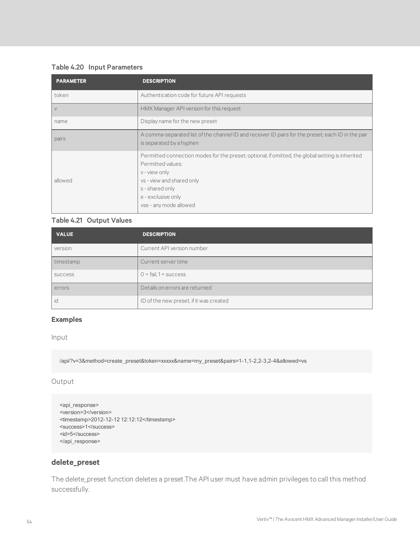#### Table 4.20 Input Parameters

| <b>PARAMETER</b> | <b>DESCRIPTION</b>                                                                                                                                                                                                                     |
|------------------|----------------------------------------------------------------------------------------------------------------------------------------------------------------------------------------------------------------------------------------|
| token            | Authentication code for future API requests                                                                                                                                                                                            |
|                  | HMX Manager API version for this request                                                                                                                                                                                               |
| name             | Display name for the new preset                                                                                                                                                                                                        |
| pairs            | A comma-separated list of the channel ID and receiver ID pairs for the preset; each ID in the pair<br>is separated by a hyphen                                                                                                         |
| allowed          | Permitted connection modes for the preset; optional, if omitted, the global setting is inherited<br>Permitted values:<br>v - view only<br>vs - view and shared only<br>s - shared only<br>e - exclusive only<br>vse - any mode allowed |

## Table 4.21 Output Values

| <b>VALUE</b>   | <b>DESCRIPTION</b>                      |
|----------------|-----------------------------------------|
| version        | Current API version number              |
| timestamp      | Current server time                     |
| <b>SUCCESS</b> | $O = \text{fail}$ , 1 = success         |
| errors         | Details on errors are returned          |
| id             | ID of the new preset, if it was created |

#### **Examples**

#### Input

/api/?v=3&method=create\_preset&token=xxxxx&name=my\_preset&pairs=1-1,1-2,2-3,2-4&allowed=vs

## Output

```
<api_response>
<version>3</version>
<timestamp>2012-12-12 12:12:12</timestamp>
<success>1</success>
<id>5</success>
</api_response>
```
#### **delete\_preset**

The delete\_preset function deletes a preset.The API user must have admin privileges to call this method successfully.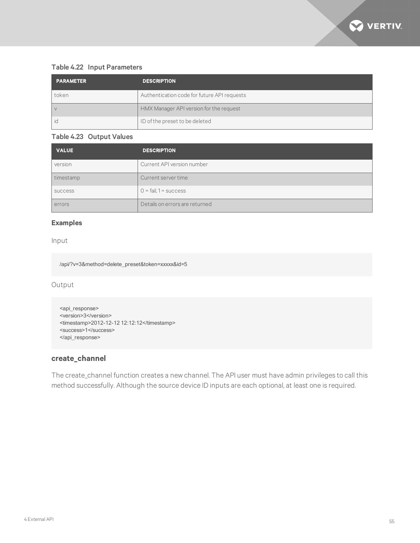

## Table 4.22 Input Parameters

| <b>PARAMETER</b> | <b>DESCRIPTION</b>                          |
|------------------|---------------------------------------------|
| token            | Authentication code for future API requests |
|                  | HMX Manager API version for the request     |
| id               | ID of the preset to be deleted              |

#### Table 4.23 Output Values

| <b>VALUE</b>   | <b>DESCRIPTION</b>                    |
|----------------|---------------------------------------|
| version        | Current API version number            |
| timestamp      | Current server time                   |
| <b>SUCCESS</b> | $0 = \text{fail}, 1 = \text{success}$ |
| errors         | Details on errors are returned        |

#### **Examples**

Input

/api/?v=3&method=delete\_preset&token=xxxxx&id=5

Output

```
<api_response>
<version>3</version>
<timestamp>2012-12-12 12:12:12</timestamp>
<success>1</success>
</api_response>
```
# **create\_channel**

The create\_channel function creates a new channel. The API user must have admin privileges to call this method successfully. Although the source device ID inputs are each optional, at least one is required.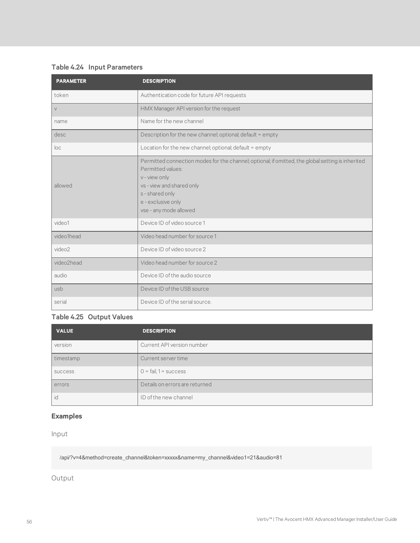# Table 4.24 Input Parameters

| <b>PARAMETER</b> | <b>DESCRIPTION</b>                                                                                                                                                                                                                      |  |  |  |  |
|------------------|-----------------------------------------------------------------------------------------------------------------------------------------------------------------------------------------------------------------------------------------|--|--|--|--|
| token            | Authentication code for future API requests                                                                                                                                                                                             |  |  |  |  |
| V                | HMX Manager API version for the request                                                                                                                                                                                                 |  |  |  |  |
| name             | Name for the new channel                                                                                                                                                                                                                |  |  |  |  |
| desc             | Description for the new channel; optional; default = empty                                                                                                                                                                              |  |  |  |  |
| $ _{OC}$         | Location for the new channel; optional; default = empty                                                                                                                                                                                 |  |  |  |  |
| allowed          | Permitted connection modes for the channel; optional; if omitted, the global setting is inherited<br>Permitted values:<br>v - view only<br>vs - view and shared only<br>s - shared only<br>e - exclusive only<br>vse - any mode allowed |  |  |  |  |
| video1           | Device ID of video source 1                                                                                                                                                                                                             |  |  |  |  |
| video1head       | Video head number for source 1                                                                                                                                                                                                          |  |  |  |  |
| video2           | Device ID of video source 2                                                                                                                                                                                                             |  |  |  |  |
| video2head       | Video head number for source 2                                                                                                                                                                                                          |  |  |  |  |
| audio            | Device ID of the audio source                                                                                                                                                                                                           |  |  |  |  |
| usb              | Device ID of the USB source                                                                                                                                                                                                             |  |  |  |  |
| serial           | Device ID of the serial source.                                                                                                                                                                                                         |  |  |  |  |

# Table 4.25 Output Values

| <b>VALUE</b>   | <b>DESCRIPTION</b>                    |
|----------------|---------------------------------------|
| version        | Current API version number            |
| timestamp      | Current server time                   |
| <b>SUCCESS</b> | $Q = \text{fail}, 1 = \text{success}$ |
| errors         | Details on errors are returned        |
| id             | ID of the new channel                 |

# **Examples**

Input

/api/?v=4&method=create\_channel&token=xxxxx&name=my\_channel&video1=21&audio=81

Output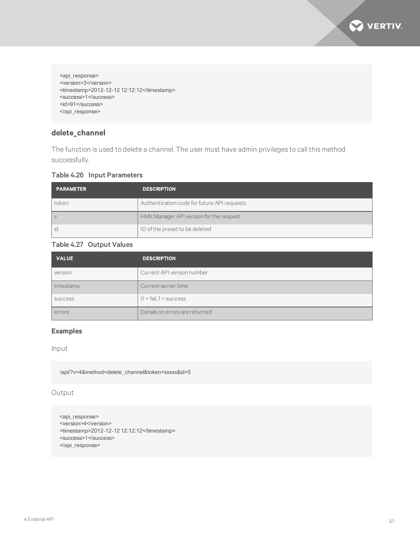

<api\_response> <version>3</version> <timestamp>2012-12-12 12:12:12</timestamp> <success>1</success> <id>91</success> </api\_response>

# **delete\_channel**

The function is used to delete a channel. The user must have admin privileges to call this method successfully.

#### Table 4.26 Input Parameters

| <b>PARAMETER</b> | <b>DESCRIPTION</b>                          |
|------------------|---------------------------------------------|
| token            | Authentication code for future API requests |
| $\vee$           | HMX Manager API version for the request     |
| id               | ID of the preset to be deleted              |

#### Table 4.27 Output Values

| <b>VALUE</b>   | <b>DESCRIPTION</b>                    |
|----------------|---------------------------------------|
| version        | Current API version number            |
| timestamp      | Current server time                   |
| <b>SUCCESS</b> | $Q = \text{fail}, 1 = \text{success}$ |
| errors         | Details on errors are returned        |

#### **Examples**

Input

/api/?v=4&method=delete\_channel&token=xxxxx&id=5

Output

<api\_response> <version>4</version> <timestamp>2012-12-12 12:12:12</timestamp> <success>1</success> </api\_response>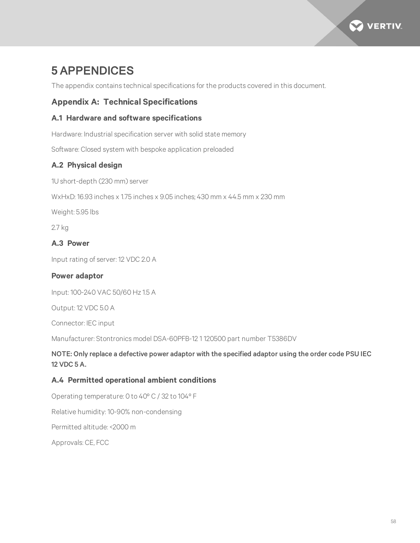

# <span id="page-61-0"></span>5 APPENDICES

<span id="page-61-1"></span>The appendix contains technical specifications for the products covered in this document.

# **Appendix A: Technical Specifications**

# **A.1 Hardware and software specifications**

Hardware: Industrial specification server with solid state memory

Software: Closed system with bespoke application preloaded

# **A.2 Physical design**

1U short-depth (230 mm) server

WxHxD: 16.93 inches x 1.75 inches x 9.05 inches; 430 mm x 44.5 mm x 230 mm

Weight: 5.95 lbs

2.7 kg

# **A.3 Power**

Input rating of server: 12 VDC 2.0 A

# **Power adaptor**

Input: 100-240 VAC 50/60 Hz 1.5 A

Output: 12 VDC 5.0 A

Connector: IEC input

Manufacturer: Stontronics model DSA-60PFB-12 1 120500 part number T5386DV

NOTE: Only replace a defective power adaptor with the specified adaptor using the order code PSU IEC 12 VDC 5 A.

## **A.4 Permitted operational ambient conditions**

Operating temperature: 0 to 40º C / 32 to 104º F Relative humidity: 10-90% non-condensing Permitted altitude: <2000 m Approvals: CE, FCC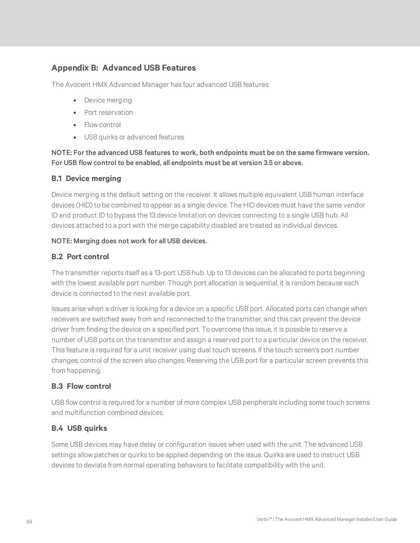# <span id="page-62-0"></span>**Appendix B: Advanced USB Features**

The Avocent HMX Advanced Manager has four advanced USB features:

- Device merging
- Port reservation
- Flow control
- USB quirks or advanced features

NOTE: For the advanced USB features to work, both endpoints must be on the same firmware version. For USB flow control to be enabled, all endpoints must be at version 3.5 or above.

# **B.1 Device merging**

Device merging is the default setting on the receiver. It allows multiple equivalent USB human interface devices (HID) to be combined to appear as a single device. The HID devices must have the same vendor ID and product ID to bypass the 13 device limitation on devices connecting to a single USB hub. All devices attached to a port with the merge capability disabled are treated as individual devices.

## NOTE: Merging does not work for all USB devices.

# **B.2 Port control**

The transmitter reports itself as a 13-port USB hub. Up to 13 devices can be allocated to ports beginning with the lowest available port number. Though port allocation is sequential, it is random because each device is connected to the next available port.

Issues arise when a driver is looking for a device on a specific USB port. Allocated ports can change when receivers are switched away from and reconnected to the transmitter, and this can prevent the device driver from finding the device on a specified port. To overcome this issue, it is possible to reserve a number of USB ports on the transmitter and assign a reserved port to a particular device on the receiver. This feature is required for a unit receiver using dual touch screens. If the touch screen's port number changes, control of the screen also changes. Reserving the USB port for a particular screen prevents this from happening.

# **B.3 Flow control**

USB flow control is required for a number of more complex USB peripherals including some touch screens and multifunction combined devices.

# **B.4 USB quirks**

Some USB devices may have delay or configuration issues when used with the unit. The advanced USB settings allow patches or quirks to be applied depending on the issue. Quirks are used to instruct USB devices to deviate from normal operating behaviors to facilitate compatibility with the unit.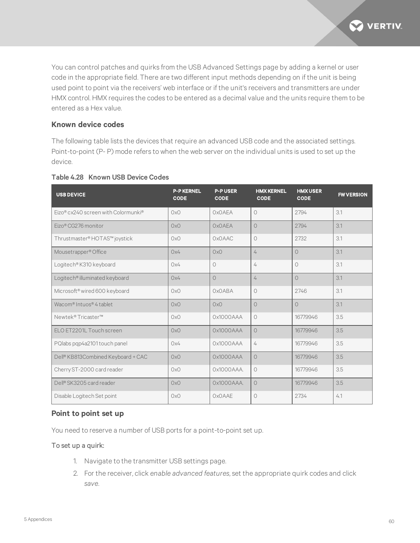

You can control patches and quirks from the USB Advanced Settings page by adding a kernel or user code in the appropriate field. There are two different input methods depending on if the unit is being used point to point via the receivers' web interface or if the unit's receivers and transmitters are under HMX control. HMX requires the codes to be entered as a decimal value and the units require them to be entered as a Hex value.

## **Known device codes**

The following table lists the devices that require an advanced USB code and the associated settings. Point-to-point (P- P) mode refers to when the web server on the individual units is used to set up the device.

| <b>USB DEVICE</b>                         | <b>P-P KERNEL</b><br><b>CODE</b> | <b>P-PUSER</b><br><b>CODE</b> | <b>HMX KERNEL</b><br><b>CODE</b> | <b>HMX USER</b><br><b>CODE</b> | <b>FW VERSION</b> |
|-------------------------------------------|----------------------------------|-------------------------------|----------------------------------|--------------------------------|-------------------|
| Eizo® cx240 screen with Colormunki®       | OxO                              | <b>OxOAEA</b>                 | $\circ$                          | 2794                           | 3.1               |
| Eizo® CG276 monitor                       | OxO                              | <b>OxOAEA</b>                 | $\Omega$                         | 2794                           | 3.1               |
| Thrustmaster® HOTAS™ joystick             | OxO                              | <b>OxOAAC</b>                 | $\bigcirc$                       | 2732                           | 3.1               |
| Mousetrapper <sup>®</sup> Office          | 0x4                              | OxO                           | $\overline{4}$                   | $\Omega$                       | 3.1               |
| Logitech® K310 keyboard                   | 0x4                              | $\circ$                       | $\overline{4}$                   | $\Omega$                       | 3.1               |
| Logitech® illuminated keyboard            | 0x4                              | $\circ$                       | $\overline{4}$                   | $\circ$                        | 3.1               |
| Microsoft <sup>®</sup> wired 600 keyboard | OxO                              | <b>OxOABA</b>                 | $\circ$                          | 2746                           | 3.1               |
| Wacom® Intuos® 4 tablet                   | OxO                              | OxO                           | $\Omega$                         | $\Omega$                       | 3.1               |
| Newtek® Tricaster™                        | OxO                              | 0x1000AAA                     | $\Omega$                         | 16779946                       | 3.5               |
| ELO ET2201L Touch screen                  | OxO                              | Ox1000AAA                     | $\bigcirc$                       | 16779946                       | 3.5               |
| PQlabs pqp4a2101 touch panel              | 0x4                              | 0x1000AAA                     | $\overline{4}$                   | 16779946                       | 3.5               |
| Dell® KB813Combined Keyboard + CAC        | OxO                              | 0x1000AAA                     | $\Omega$                         | 16779946                       | 3.5               |
| Cherry ST-2000 card reader                | OxO                              | 0x1000AAA.                    | $\circ$                          | 16779946                       | 3.5               |
| Dell® SK3205 card reader                  | OxO                              | 0x1000AAA.                    | $\Omega$                         | 16779946                       | 3.5               |
| Disable Logitech Set point                | OxO                              | OxOAAE                        | $\circ$                          | 2734                           | 4.1               |

### Table 4.28 Known USB Device Codes

## **Point to point set up**

You need to reserve a number of USB ports for a point-to-point set up.

#### To set up a quirk:

- 1. Navigate to the transmitter USB settings page.
- 2. For the receiver, click *enable advanced features*, set the appropriate quirk codes and click *save*.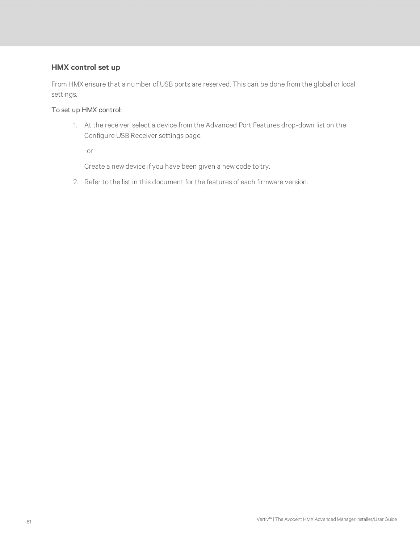# **HMX control set up**

From HMX ensure that a number of USB ports are reserved. This can be done from the global or local settings.

## To set up HMX control:

1. At the receiver, select a device from the Advanced Port Features drop-down list on the Configure USB Receiver settings page.

 $-0r-$ 

Create a new device if you have been given a new code to try.

2. Refer to the list in this document for the features of each firmware version.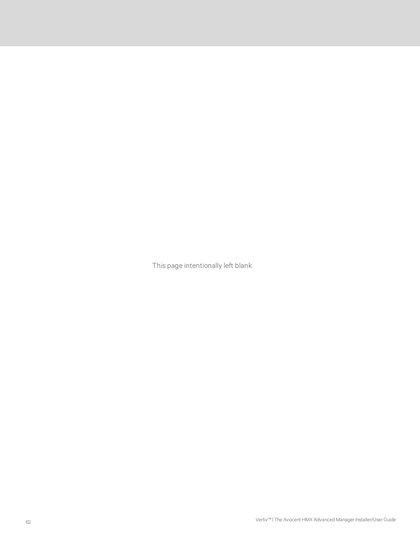This page intentionally left blank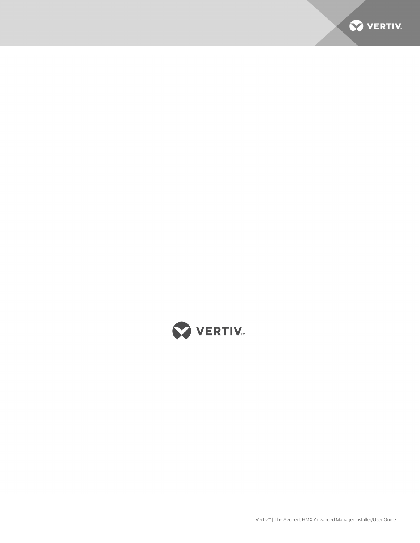